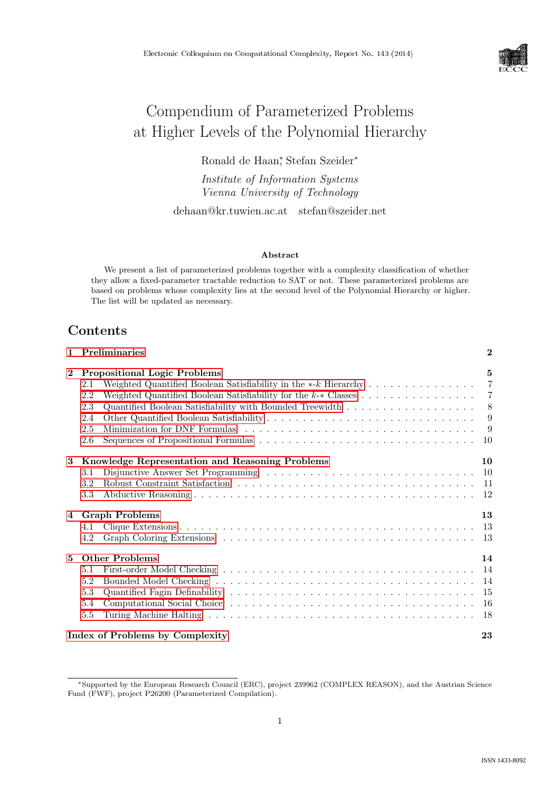

# Compendium of Parameterized Problems at Higher Levels of the Polynomial Hierarchy

Ronald de Haan<sup>∗</sup> , Stefan Szeider<sup>∗</sup>

Institute of Information Systems Vienna University of Technology

dehaan@kr.tuwien.ac.at stefan@szeider.net

#### Abstract

We present a list of parameterized problems together with a complexity classification of whether they allow a fixed-parameter tractable reduction to SAT or not. These parameterized problems are based on problems whose complexity lies at the second level of the Polynomial Hierarchy or higher. The list will be updated as necessary.

# Contents

|                         | 1 Preliminaries                                        |  | $\mathbf{2}$    |
|-------------------------|--------------------------------------------------------|--|-----------------|
| $\mathbf{2}$            | <b>Propositional Logic Problems</b>                    |  | $5\overline{a}$ |
|                         | 2.1                                                    |  | $\overline{7}$  |
|                         | 2.2                                                    |  | - 7             |
|                         | 2.3                                                    |  | 8 <sup>8</sup>  |
|                         | 2.4                                                    |  | 9               |
|                         | 2.5                                                    |  | 9               |
|                         | 2.6                                                    |  | 10              |
| 3                       | <b>Knowledge Representation and Reasoning Problems</b> |  | 10              |
|                         | 3.1                                                    |  |                 |
|                         | 3.2                                                    |  |                 |
|                         | 3.3                                                    |  |                 |
| $\overline{\mathbf{4}}$ | <b>Graph Problems</b>                                  |  | 13              |
|                         | 4.1                                                    |  |                 |
|                         | 4.2                                                    |  | -13             |
| 5                       | <b>Other Problems</b>                                  |  | 14              |
|                         | 5.1                                                    |  |                 |
|                         | 5.2                                                    |  | 14              |
|                         | 5.3                                                    |  | 15              |
|                         | 5.4                                                    |  | 16              |
|                         | 5.5                                                    |  | 18              |
|                         | Index of Problems by Complexity                        |  | 23              |

<sup>∗</sup>Supported by the European Research Council (ERC), project 239962 (COMPLEX REASON), and the Austrian Science Fund (FWF), project P26200 (Parameterized Compilation).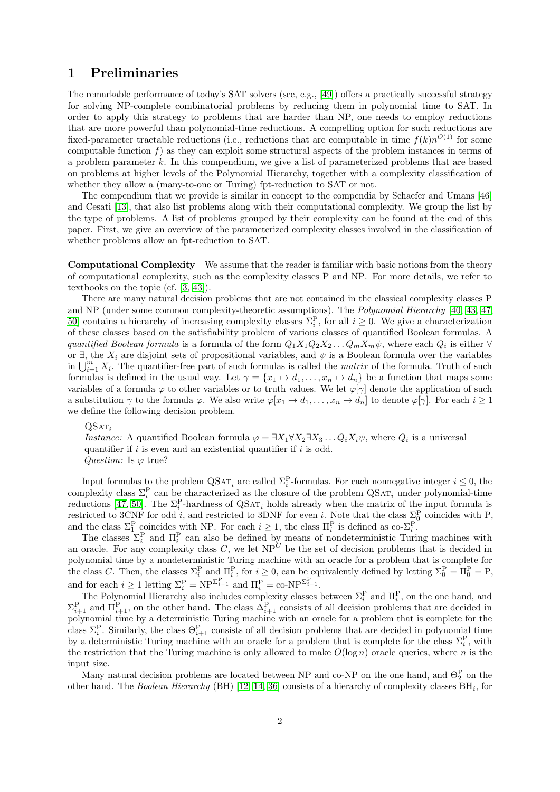# <span id="page-1-0"></span>1 Preliminaries

The remarkable performance of today's SAT solvers (see, e.g., [\[49\]](#page-21-0)) offers a practically successful strategy for solving NP-complete combinatorial problems by reducing them in polynomial time to SAT. In order to apply this strategy to problems that are harder than NP, one needs to employ reductions that are more powerful than polynomial-time reductions. A compelling option for such reductions are fixed-parameter tractable reductions (i.e., reductions that are computable in time  $f(k)n^{O(1)}$  for some computable function  $f$ ) as they can exploit some structural aspects of the problem instances in terms of a problem parameter  $k$ . In this compendium, we give a list of parameterized problems that are based on problems at higher levels of the Polynomial Hierarchy, together with a complexity classification of whether they allow a (many-to-one or Turing) fpt-reduction to SAT or not.

The compendium that we provide is similar in concept to the compendia by Schaefer and Umans [\[46\]](#page-21-1) and Cesati [\[13\]](#page-19-0), that also list problems along with their computational complexity. We group the list by the type of problems. A list of problems grouped by their complexity can be found at the end of this paper. First, we give an overview of the parameterized complexity classes involved in the classification of whether problems allow an fpt-reduction to SAT.

Computational Complexity We assume that the reader is familiar with basic notions from the theory of computational complexity, such as the complexity classes P and NP. For more details, we refer to textbooks on the topic (cf. [\[3,](#page-19-1) [43\]](#page-21-2)).

There are many natural decision problems that are not contained in the classical complexity classes P and NP (under some common complexity-theoretic assumptions). The *Polynomial Hierarchy* [\[40,](#page-21-3) [43,](#page-21-2) [47,](#page-21-4) [50\]](#page-21-5) contains a hierarchy of increasing complexity classes  $\Sigma_i^{\text{P}}$ , for all  $i \geq 0$ . We give a characterization of these classes based on the satisfiability problem of various classes of quantified Boolean formulas. A quantified Boolean formula is a formula of the form  $Q_1X_1Q_2X_2...Q_mX_m\psi$ , where each  $Q_i$  is either  $\forall$ or  $\exists$ , the  $X_i$  are disjoint sets of propositional variables, and  $\psi$  is a Boolean formula over the variables in  $\bigcup_{i=1}^m X_i$ . The quantifier-free part of such formulas is called the *matrix* of the formula. Truth of such formulas is defined in the usual way. Let  $\gamma = \{x_1 \mapsto d_1, \ldots, x_n \mapsto d_n\}$  be a function that maps some variables of a formula  $\varphi$  to other variables or to truth values. We let  $\varphi[\gamma]$  denote the application of such a substitution  $\gamma$  to the formula  $\varphi$ . We also write  $\varphi[x_1 \mapsto d_1, \ldots, x_n \mapsto d_n]$  to denote  $\varphi[\gamma]$ . For each  $i \geq 1$ we define the following decision problem.

 $\mathrm{QSAT}_i$ *Instance:* A quantified Boolean formula  $\varphi = \exists X_1 \forall X_2 \exists X_3 \dots Q_i X_i \psi$ , where  $Q_i$  is a universal quantifier if  $i$  is even and an existential quantifier if  $i$  is odd. Question: Is  $\varphi$  true?

Input formulas to the problem  $\text{QSAT}_i$  are called  $\Sigma_i^{\text{P}}$ -formulas. For each nonnegative integer  $i \leq 0$ , the complexity class  $\Sigma_i^{\rm P}$  can be characterized as the closure of the problem  $\mathrm{QSAT}_i$  under polynomial-time reductions [\[47,](#page-21-4) [50\]](#page-21-5). The  $\Sigma_i^{\text{P}}$ -hardness of QSAT<sub>i</sub> holds already when the matrix of the input formula is restricted to 3CNF for odd i, and restricted to 3DNF for even i. Note that the class  $\Sigma_0^{\text{P}}$  coincides with P, and the class  $\Sigma_1^{\rm P}$  coincides with NP. For each  $i \geq 1$ , the class  $\Pi_i^{\rm P}$  is defined as co- $\Sigma_i^{\rm P}$ .

The classes  $\Sigma_i^{\text{P}}$  and  $\Pi_i^{\text{P}}$  can also be defined by means of nondeterministic Turing machines with an oracle. For any complexity class C, we let  $NP^C$  be the set of decision problems that is decided in polynomial time by a nondeterministic Turing machine with an oracle for a problem that is complete for the class C. Then, the classes  $\Sigma_i^{\text{P}}$  and  $\Pi_i^{\text{P}}$ , for  $i \geq 0$ , can be equivalently defined by letting  $\Sigma_0^{\text{P}} = \Pi_0^{\text{P}} = \text{P}$ , and for each  $i \geq 1$  letting  $\Sigma_i^{\mathcal{P}} = \text{NP}^{\Sigma_{i-1}^{\mathcal{P}}}$  and  $\Pi_i^{\mathcal{P}} = \text{co-NP}^{\Sigma_{i-1}^{\mathcal{P}}}$ .

The Polynomial Hierarchy also includes complexity classes between  $\Sigma_i^{\text{P}}$  and  $\Pi_i^{\text{P}}$ , on the one hand, and  $\Sigma_{i+1}^{\text{P}}$  and  $\Pi_{i+1}^{\text{P}}$ , on the other hand. The class  $\Delta_{i+1}^{\text{P}}$  consists of all decision problems that are decided in polynomial time by a deterministic Turing machine with an oracle for a problem that is complete for the class  $\Sigma_i^{\text{P}}$ . Similarly, the class  $\Theta_{i+1}^{\text{P}}$  consists of all decision problems that are decided in polynomial time by a deterministic Turing machine with an oracle for a problem that is complete for the class  $\Sigma_i^{\text{P}}$ , with the restriction that the Turing machine is only allowed to make  $O(\log n)$  oracle queries, where n is the input size.

Many natural decision problems are located between NP and co-NP on the one hand, and  $\Theta_2^{\text{P}}$  on the other hand. The Boolean Hierarchy (BH)  $[12, 14, 36]$  $[12, 14, 36]$  $[12, 14, 36]$  $[12, 14, 36]$  $[12, 14, 36]$  consists of a hierarchy of complexity classes  $BH<sub>i</sub>$ , for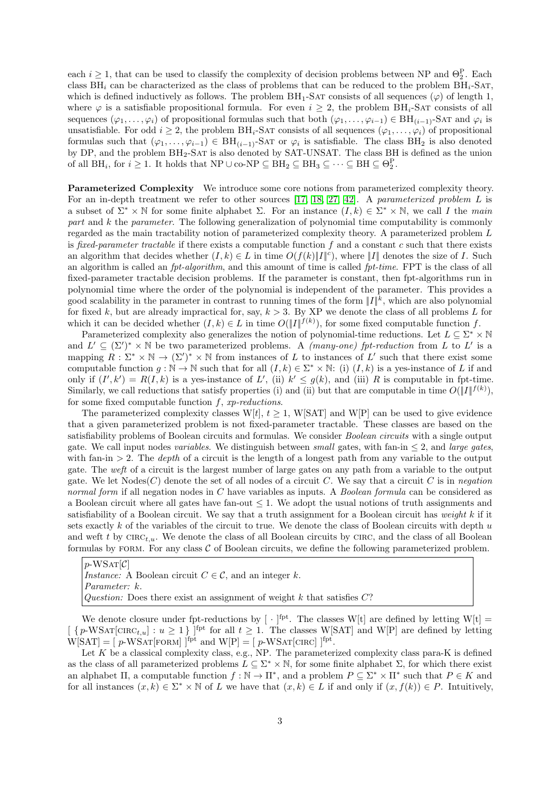each  $i \geq 1$ , that can be used to classify the complexity of decision problems between NP and  $\Theta_2^{\text{P}}$ . Each class  $BH_i$  can be characterized as the class of problems that can be reduced to the problem  $BH_i$ -SAT, which is defined inductively as follows. The problem  $BH_1$ -SAT consists of all sequences  $(\varphi)$  of length 1, where  $\varphi$  is a satisfiable propositional formula. For even  $i \geq 2$ , the problem BH<sub>i</sub>-SAT consists of all sequences  $(\varphi_1,\ldots,\varphi_i)$  of propositional formulas such that both  $(\varphi_1,\ldots,\varphi_{i-1})\in \text{BH}_{(i-1)}$ -SAT and  $\varphi_i$  is unsatisfiable. For odd  $i \geq 2$ , the problem BH<sub>i</sub>-SAT consists of all sequences  $(\varphi_1, \ldots, \varphi_i)$  of propositional formulas such that  $(\varphi_1,\ldots,\varphi_{i-1}) \in \text{BH}_{(i-1)}$ -SAT or  $\varphi_i$  is satisfiable. The class  $\text{BH}_2$  is also denoted by DP, and the problem BH2-Sat is also denoted by SAT-UNSAT. The class BH is defined as the union of all  $BH_i$ , for  $i \geq 1$ . It holds that  $NP \cup co-NP \subseteq BH_2 \subseteq BH_3 \subseteq \cdots \subseteq BH \subseteq \Theta_2^P$ .

Parameterized Complexity We introduce some core notions from parameterized complexity theory. For an in-depth treatment we refer to other sources [\[17,](#page-19-4) [18,](#page-20-1) [27,](#page-20-2) [42\]](#page-21-6). A parameterized problem L is a subset of  $\Sigma^* \times \mathbb{N}$  for some finite alphabet  $\Sigma$ . For an instance  $(I, k) \in \Sigma^* \times \mathbb{N}$ , we call I the main part and k the parameter. The following generalization of polynomial time computability is commonly regarded as the main tractability notion of parameterized complexity theory. A parameterized problem L is fixed-parameter tractable if there exists a computable function f and a constant c such that there exists an algorithm that decides whether  $(I, k) \in L$  in time  $O(f(k) || I ||^c)$ , where ||I|| denotes the size of I. Such an algorithm is called an  $fpt\text{-}algorithm$ , and this amount of time is called  $fpt\text{-}time$ . FPT is the class of all fixed-parameter tractable decision problems. If the parameter is constant, then fpt-algorithms run in polynomial time where the order of the polynomial is independent of the parameter. This provides a good scalability in the parameter in contrast to running times of the form  $||I||^k$ , which are also polynomial for fixed k, but are already impractical for, say,  $k > 3$ . By XP we denote the class of all problems L for which it can be decided whether  $(I, k) \in L$  in time  $O(||I||^{f(k)})$ , for some fixed computable function f.

Parameterized complexity also generalizes the notion of polynomial-time reductions. Let  $L \subseteq \Sigma^* \times \mathbb{N}$ and  $L' \subseteq (\Sigma')^* \times \mathbb{N}$  be two parameterized problems. A *(many-one) fpt-reduction* from L to L' is a mapping  $R : \Sigma^* \times \mathbb{N} \to (\Sigma')^* \times \mathbb{N}$  from instances of L to instances of L' such that there exist some computable function  $g : \mathbb{N} \to \mathbb{N}$  such that for all  $(I, k) \in \Sigma^* \times \mathbb{N}$ : (i)  $(I, k)$  is a yes-instance of L if and only if  $(I', k') = R(I, k)$  is a yes-instance of L', (ii)  $k' \leq g(k)$ , and (iii) R is computable in fpt-time. Similarly, we call reductions that satisfy properties (i) and (ii) but that are computable in time  $O(|I|^{f(k)})$ , for some fixed computable function  $f$ ,  $xp$ -reductions.

The parameterized complexity classes W[t],  $t \geq 1$ , W[SAT] and W[P] can be used to give evidence that a given parameterized problem is not fixed-parameter tractable. These classes are based on the satisfiability problems of Boolean circuits and formulas. We consider Boolean circuits with a single output gate. We call input nodes variables. We distinguish between small gates, with fan-in  $\leq 2$ , and large gates, with fan-in  $> 2$ . The *depth* of a circuit is the length of a longest path from any variable to the output gate. The weft of a circuit is the largest number of large gates on any path from a variable to the output gate. We let  $Nodes(C)$  denote the set of all nodes of a circuit C. We say that a circuit C is in negation normal form if all negation nodes in C have variables as inputs. A Boolean formula can be considered as a Boolean circuit where all gates have fan-out  $\leq 1$ . We adopt the usual notions of truth assignments and satisfiability of a Boolean circuit. We say that a truth assignment for a Boolean circuit has *weight k* if it sets exactly  $k$  of the variables of the circuit to true. We denote the class of Boolean circuits with depth  $u$ and weft t by  $CIRC_{t,u}$ . We denote the class of all Boolean circuits by CIRC, and the class of all Boolean formulas by FORM. For any class  $C$  of Boolean circuits, we define the following parameterized problem.

 $p$ -WSAT $\mathcal{C}$ 

*Instance:* A Boolean circuit  $C \in \mathcal{C}$ , and an integer k. Parameter: k. Question: Does there exist an assignment of weight  $k$  that satisfies  $C$ ?

We denote closure under fpt-reductions by  $[\cdot]^{fpt}$ . The classes W[t] are defined by letting W[t] =  $\left[ \{ p\text{-WSAT}[\text{CIRC}_{t,u}] : u \geq 1 \} \right]$ <sup>fpt</sup> for all  $t \geq 1$ . The classes W[SAT] and W[P] are defined by letting  $W[SAT] = [p-WSAT[FORM] \dot{P}^{pt} \text{ and } W[P] = [p-WSAT[CIRC] \dot{P}^{pt}].$ 

Let  $K$  be a classical complexity class, e.g., NP. The parameterized complexity class para-K is defined as the class of all parameterized problems  $L \subseteq \Sigma^* \times \mathbb{N}$ , for some finite alphabet  $\Sigma$ , for which there exist an alphabet  $\Pi$ , a computable function  $f : \mathbb{N} \to \Pi^*$ , and a problem  $P \subseteq \Sigma^* \times \Pi^*$  such that  $P \in K$  and for all instances  $(x, k) \in \Sigma^* \times \mathbb{N}$  of L we have that  $(x, k) \in L$  if and only if  $(x, f(k)) \in P$ . Intuitively,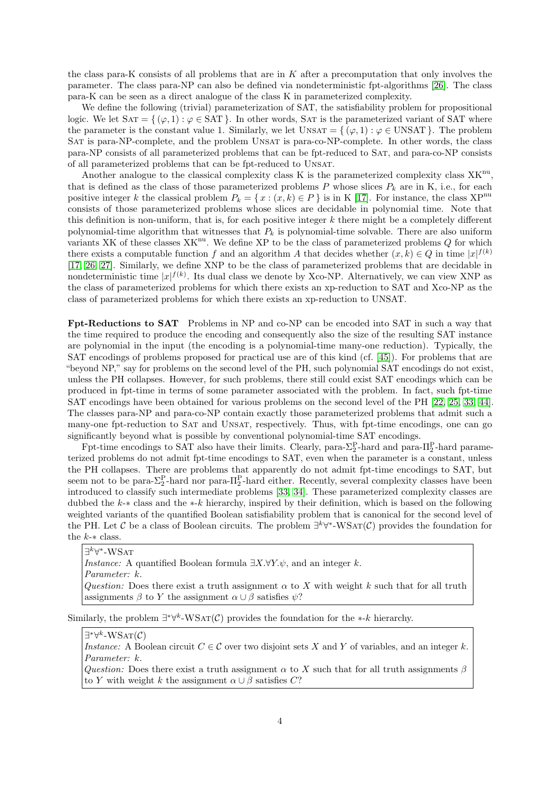the class para-K consists of all problems that are in  $K$  after a precomputation that only involves the parameter. The class para-NP can also be defined via nondeterministic fpt-algorithms [\[26\]](#page-20-3). The class para-K can be seen as a direct analogue of the class K in parameterized complexity.

We define the following (trivial) parameterization of SAT, the satisfiability problem for propositional logic. We let  $SAT = \{ (\varphi, 1) : \varphi \in SAT \}$ . In other words, SAT is the parameterized variant of SAT where the parameter is the constant value 1. Similarly, we let  $UNSAT = \{ (\varphi, 1) : \varphi \in UNSAT \}$ . The problem Sat is para-NP-complete, and the problem Unsat is para-co-NP-complete. In other words, the class para-NP consists of all parameterized problems that can be fpt-reduced to SAT, and para-co-NP consists of all parameterized problems that can be fpt-reduced to Unsat.

Another analogue to the classical complexity class  $K$  is the parameterized complexity class  $XK^{nu}$ , that is defined as the class of those parameterized problems P whose slices  $P_k$  are in K, i.e., for each positive integer k the classical problem  $P_k = \{x : (x, k) \in P\}$  is in K [\[17\]](#page-19-4). For instance, the class XP<sup>nu</sup> consists of those parameterized problems whose slices are decidable in polynomial time. Note that this definition is non-uniform, that is, for each positive integer  $k$  there might be a completely different polynomial-time algorithm that witnesses that  $P_k$  is polynomial-time solvable. There are also uniform variants XK of these classes  $XK^{nu}$ . We define XP to be the class of parameterized problems  $Q$  for which there exists a computable function f and an algorithm A that decides whether  $(x, k) \in Q$  in time  $|x|^{f(k)}$ [\[17,](#page-19-4) [26,](#page-20-3) [27\]](#page-20-2). Similarly, we define XNP to be the class of parameterized problems that are decidable in nondeterministic time  $|x|^{f(k)}$ . Its dual class we denote by Xco-NP. Alternatively, we can view XNP as the class of parameterized problems for which there exists an xp-reduction to SAT and Xco-NP as the class of parameterized problems for which there exists an xp-reduction to UNSAT.

Fpt-Reductions to SAT Problems in NP and co-NP can be encoded into SAT in such a way that the time required to produce the encoding and consequently also the size of the resulting SAT instance are polynomial in the input (the encoding is a polynomial-time many-one reduction). Typically, the SAT encodings of problems proposed for practical use are of this kind (cf. [\[45\]](#page-21-7)). For problems that are "beyond NP," say for problems on the second level of the PH, such polynomial SAT encodings do not exist, unless the PH collapses. However, for such problems, there still could exist SAT encodings which can be produced in fpt-time in terms of some parameter associated with the problem. In fact, such fpt-time SAT encodings have been obtained for various problems on the second level of the PH [\[22,](#page-20-4) [25,](#page-20-5) [33,](#page-20-6) [44\]](#page-21-8). The classes para-NP and para-co-NP contain exactly those parameterized problems that admit such a many-one fpt-reduction to Sat and Unsat, respectively. Thus, with fpt-time encodings, one can go significantly beyond what is possible by conventional polynomial-time SAT encodings.

Fpt-time encodings to SAT also have their limits. Clearly, para- $\Sigma_2^P$ -hard and para- $\Pi_2^P$ -hard parameterized problems do not admit fpt-time encodings to SAT, even when the parameter is a constant, unless the PH collapses. There are problems that apparently do not admit fpt-time encodings to SAT, but seem not to be para- $\Sigma_2^P$ -hard nor para- $\Pi_2^P$ -hard either. Recently, several complexity classes have been introduced to classify such intermediate problems [\[33,](#page-20-6) [34\]](#page-20-7). These parameterized complexity classes are dubbed the k-∗ class and the ∗-k hierarchy, inspired by their definition, which is based on the following weighted variants of the quantified Boolean satisfiability problem that is canonical for the second level of the PH. Let C be a class of Boolean circuits. The problem  $\exists^k \forall^*$ -WSAT(C) provides the foundation for the  $k$ - $\ast$  class.

 $\exists^k \forall^*$ -WSат *Instance:* A quantified Boolean formula  $\exists X.\forall Y.\psi$ , and an integer k. Parameter: k. Question: Does there exist a truth assignment  $\alpha$  to X with weight k such that for all truth assignments  $\beta$  to Y the assignment  $\alpha \cup \beta$  satisfies  $\psi$ ?

Similarly, the problem  $\exists^*\forall^k\text{-WSAT}(\mathcal{C})$  provides the foundation for the  $*$ -k hierarchy.

 $\exists^*\forall^k\text{-}\mathrm{WSAT}(\mathcal{C})$ 

Instance: A Boolean circuit  $C \in \mathcal{C}$  over two disjoint sets X and Y of variables, and an integer k. Parameter: k.

Question: Does there exist a truth assignment  $\alpha$  to X such that for all truth assignments  $\beta$ to Y with weight k the assignment  $\alpha \cup \beta$  satisfies C?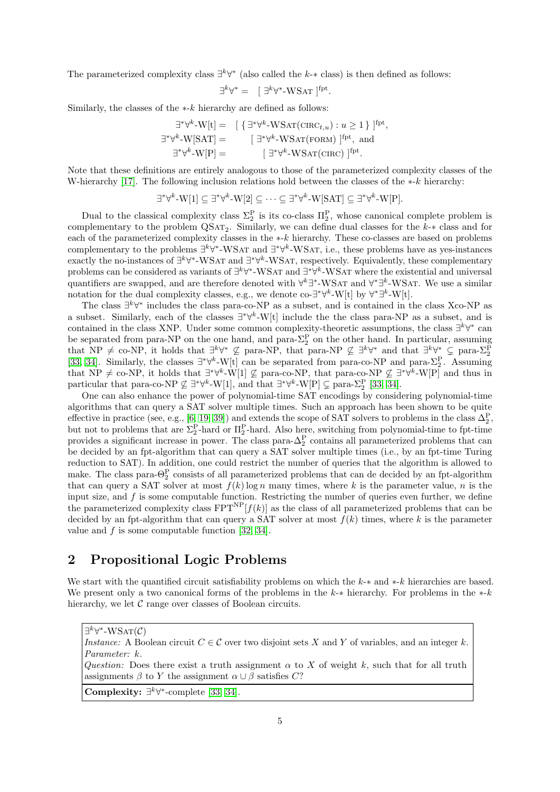The parameterized complexity class  $\exists^k \forall^*$  (also called the k- $*$  class) is then defined as follows:

$$
\exists^k \forall^* = \left[ \begin{array}{c} \exists^k \forall^* \text{-WSAT} \end{array} \right]^{\text{fpt}}.
$$

Similarly, the classes of the  $*$ - $k$  hierarchy are defined as follows:

$$
\exists^*\forall^k\text{-}W[t] = \left[\begin{array}{l}\{\exists^*\forall^k\text{-}WSAT(\text{CIRC}_{t,u}):u\geq 1\}\end{array}\right]^{fpt},
$$
  

$$
\exists^*\forall^k\text{-}W[SAT] = \left[\begin{array}{l}\exists^*\forall^k\text{-}WSAT(\text{FORM})\end{array}\right]^{fpt}, \text{ and}
$$
  

$$
\exists^*\forall^k\text{-}W[P] = \left[\begin{array}{l}\exists^*\forall^k\text{-}WSAT(\text{CIRC})\end{array}\right]^{fpt}.
$$

Note that these definitions are entirely analogous to those of the parameterized complexity classes of the W-hierarchy [\[17\]](#page-19-4). The following inclusion relations hold between the classes of the  $*$ -k hierarchy:

$$
\exists^* \forall^k \text{-} W[1] \subseteq \exists^* \forall^k \text{-} W[2] \subseteq \cdots \subseteq \exists^* \forall^k \text{-} W[\text{SAT}] \subseteq \exists^* \forall^k \text{-} W[\text{P}].
$$

Dual to the classical complexity class  $\Sigma_2^{\text{P}}$  is its co-class  $\Pi_2^{\text{P}}$ , whose canonical complete problem is complementary to the problem  $\text{QSAT}_2$ . Similarly, we can define dual classes for the k- $*$  class and for each of the parameterized complexity classes in the ∗-k hierarchy. These co-classes are based on problems complementary to the problems  $\exists^k \forall^*$ -WSAT and  $\exists^* \forall^k$ -WSAT, i.e., these problems have as yes-instances exactly the no-instances of  $\exists^k \forall^*$ -WSAT and  $\exists^* \forall^k$ -WSAT, respectively. Equivalently, these complementary problems can be considered as variants of  $\exists^k \forall^*$ -WSAT and  $\exists^* \forall^k$ -WSAT where the existential and universal quantifiers are swapped, and are therefore denoted with  $\forall^k \exists^*$ -WSAT and  $\forall^* \exists^k$ -WSAT. We use a similar notation for the dual complexity classes, e.g., we denote co- $\exists^* \forall^k \text{-} W[t]$  by  $\forall^* \exists^k \text{-} W[t]$ .

The class  $\exists^k \forall^*$  includes the class para-co-NP as a subset, and is contained in the class Xco-NP as a subset. Similarly, each of the classes ∃ ∗∀ k -W[t] include the the class para-NP as a subset, and is contained in the class XNP. Under some common complexity-theoretic assumptions, the class  $\exists^k \forall^*$  can be separated from para-NP on the one hand, and para- $\Sigma_2^{\text{P}}$  on the other hand. In particular, assuming that NP  $\neq$  co-NP, it holds that  $\exists^k \forall^* \not\subseteq$  para-NP, that para-NP  $\not\subseteq \exists^k \forall^*$  and that  $\exists^k \forall^* \subseteq$  para- $\Sigma_2^{\overline{P}}$ [\[33,](#page-20-6) [34\]](#page-20-7). Similarly, the classes  $\exists^*\forall^k$ -W[t] can be separated from para-co-NP and para- $\Sigma_2^P$ . Assuming that NP  $\neq$  co-NP, it holds that  $\exists^*\forall^k-W[1]\nsubseteq$  para-co-NP, that para-co-NP  $\nsubseteq \exists^*\forall^k-W[P]$  and thus in particular that para-co-NP  $\nsubseteq \exists^* \forall^k \text{-} W[1]$ , and that  $\exists^* \forall^k \text{-} W[P] \subsetneq$  para- $\Sigma_2^P$  [\[33,](#page-20-6) [34\]](#page-20-7).

One can also enhance the power of polynomial-time SAT encodings by considering polynomial-time algorithms that can query a SAT solver multiple times. Such an approach has been shown to be quite effective in practice (see, e.g., [\[6,](#page-19-5) [19,](#page-20-8) [39\]](#page-21-9)) and extends the scope of SAT solvers to problems in the class  $\Delta_2^P$ , but not to problems that are  $\Sigma_2^P$ -hard or  $\Pi_2^P$ -hard. Also here, switching from polynomial-time to fpt-time provides a significant increase in power. The class para- $\Delta_2^P$  contains all parameterized problems that can be decided by an fpt-algorithm that can query a SAT solver multiple times (i.e., by an fpt-time Turing reduction to SAT). In addition, one could restrict the number of queries that the algorithm is allowed to make. The class para- $\Theta_2^{\rm P}$  consists of all parameterized problems that can de decided by an fpt-algorithm that can query a SAT solver at most  $f(k) \log n$  many times, where k is the parameter value, n is the input size, and  $f$  is some computable function. Restricting the number of queries even further, we define the parameterized complexity class  $FPT^{NP}[f(k)]$  as the class of all parameterized problems that can be decided by an fpt-algorithm that can query a SAT solver at most  $f(k)$  times, where k is the parameter value and f is some computable function [\[32,](#page-20-9) [34\]](#page-20-7).

# 2 Propositional Logic Problems

We start with the quantified circuit satisfiability problems on which the  $k-*$  and  $*-k$  hierarchies are based. We present only a two canonical forms of the problems in the k-∗ hierarchy. For problems in the  $\ast$ -k hierarchy, we let  $\mathcal C$  range over classes of Boolean circuits.

 $\exists^k \forall^*$ -WSAT $(\mathcal{C})$ 

Instance: A Boolean circuit  $C \in \mathcal{C}$  over two disjoint sets X and Y of variables, and an integer k. Parameter: k.

Question: Does there exist a truth assignment  $\alpha$  to X of weight k, such that for all truth assignments  $\beta$  to Y the assignment  $\alpha \cup \beta$  satisfies C?

Complexity:  $\exists^k \forall^*$ -complete [\[33,](#page-20-6) [34\]](#page-20-7).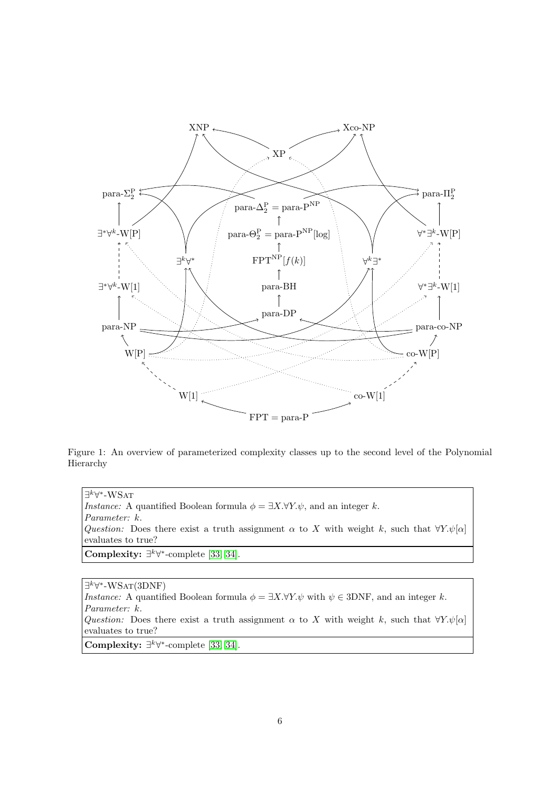

Figure 1: An overview of parameterized complexity classes up to the second level of the Polynomial Hierarchy

 $\exists^k \forall^*$ -WSат *Instance:* A quantified Boolean formula  $\phi = \exists X.\forall Y.\psi$ , and an integer k. Parameter: k. Question: Does there exist a truth assignment  $\alpha$  to X with weight k, such that  $\forall Y \psi[\alpha]$ evaluates to true? Complexity:  $\exists^k \forall^*$ -complete [\[33,](#page-20-6) [34\]](#page-20-7).

 $\exists^k \forall^*$ -WSAT(3DNF) Instance: A quantified Boolean formula  $\phi = \exists X.\forall Y.\psi$  with  $\psi \in 3DNF$ , and an integer k. Parameter: k. Question: Does there exist a truth assignment  $\alpha$  to X with weight k, such that  $\forall Y.\psi[\alpha]$ evaluates to true? Complexity:  $\exists^k \forall^*$ -complete [\[33,](#page-20-6) [34\]](#page-20-7).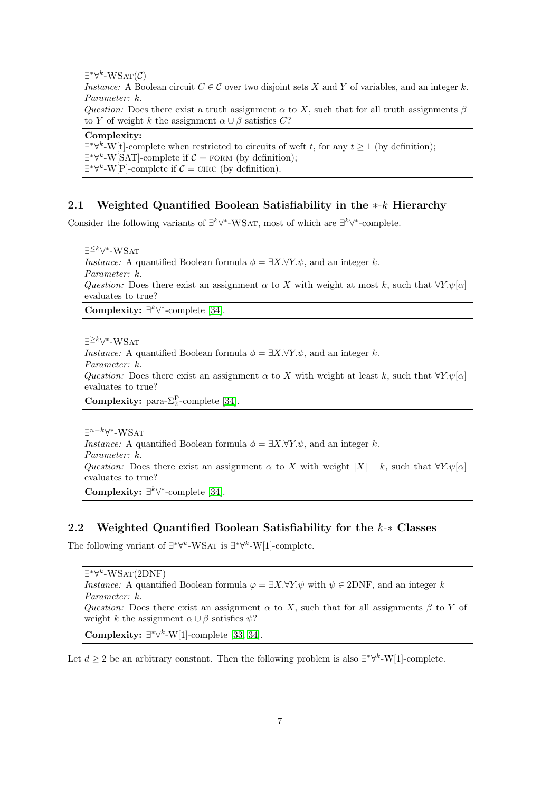$\exists^*\forall^k\text{-}\mathrm{WSAT}(\mathcal{C})$ Instance: A Boolean circuit  $C \in \mathcal{C}$  over two disjoint sets X and Y of variables, and an integer k. Parameter: k. Question: Does there exist a truth assignment  $\alpha$  to X, such that for all truth assignments  $\beta$ to Y of weight k the assignment  $\alpha \cup \beta$  satisfies C?

## Complexity:

 $\exists^*\forall^k$ -W[t]-complete when restricted to circuits of weft t, for any  $t \geq 1$  (by definition);  $\exists^*\forall^k\text{-}\text{W}[\text{SAT}]$ -complete if  $\mathcal{C} = \text{FORM}$  (by definition);  $\exists^*\forall^k\text{-}\mathrm{W[P]}$ -complete if  $\mathcal{C} = \text{CIRC}$  (by definition).

## 2.1 Weighted Quantified Boolean Satisfiability in the ∗-k Hierarchy

Consider the following variants of  $\exists^k \forall^*$ -WSAT, most of which are  $\exists^k \forall^*$ -complete.

∃<sup>≤k</sup>∀\*-WSat *Instance:* A quantified Boolean formula  $\phi = \exists X.\forall Y.\psi$ , and an integer k. Parameter: k. Question: Does there exist an assignment  $\alpha$  to X with weight at most k, such that  $\forall Y \psi[\alpha]$ evaluates to true?

Complexity:  $\exists^k \forall^*$ -complete [\[34\]](#page-20-7).

∃<sup>≥k</sup>∀\*-WSat *Instance:* A quantified Boolean formula  $\phi = \exists X. \forall Y. \psi$ , and an integer k. Parameter: k. Question: Does there exist an assignment  $\alpha$  to X with weight at least k, such that  $\forall Y.\psi[\alpha]$ evaluates to true? **Complexity:** para- $\Sigma_2^{\text{P}}$ -complete [\[34\]](#page-20-7).

∃<sup>n-k</sup>∀\*-WSAT *Instance:* A quantified Boolean formula  $\phi = \exists X. \forall Y. \psi$ , and an integer k. Parameter: k. Question: Does there exist an assignment  $\alpha$  to X with weight  $|X| - k$ , such that  $\forall Y \psi[\alpha]$ evaluates to true? Complexity:  $\exists^k \forall^*$ -complete [\[34\]](#page-20-7).

## 2.2 Weighted Quantified Boolean Satisfiability for the k-∗ Classes

The following variant of  $\exists^*\forall^k$ -WSAT is  $\exists^*\forall^k$ -W[1]-complete.

 $\exists^*\forall^k\text{-}\text{WSAT}(2\text{DNF})$ Instance: A quantified Boolean formula  $\varphi = \exists X.\forall Y.\psi$  with  $\psi \in 2DNF$ , and an integer k Parameter: k. Question: Does there exist an assignment  $\alpha$  to X, such that for all assignments  $\beta$  to Y of weight k the assignment  $\alpha \cup \beta$  satisfies  $\psi$ ? Complexity:  $\exists^*\forall^k$ -W[1]-complete [\[33,](#page-20-6) [34\]](#page-20-7).

Let  $d \geq 2$  be an arbitrary constant. Then the following problem is also  $\exists^* \forall^k \text{-} W[1]$ -complete.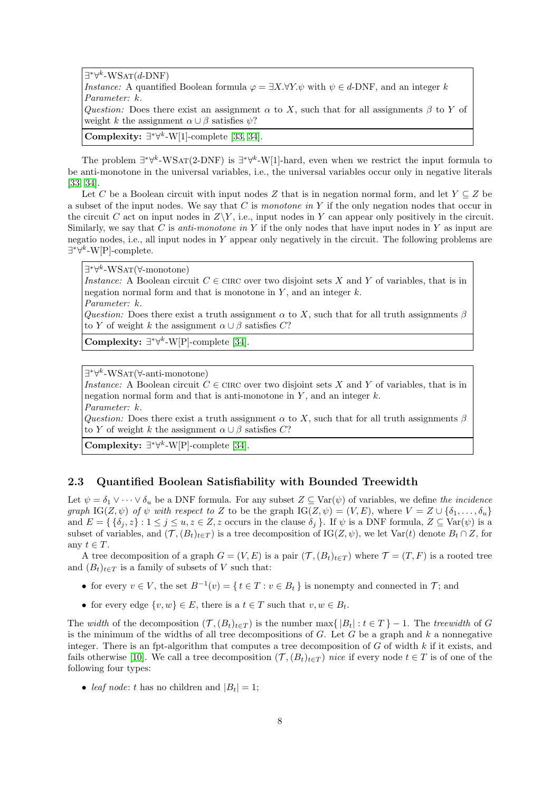$\exists^*\forall^k\text{-}\text{WSAT}(d\text{-}\text{DNF})$ Instance: A quantified Boolean formula  $\varphi = \exists X. \forall Y. \psi$  with  $\psi \in d$ -DNF, and an integer k Parameter: k. Question: Does there exist an assignment  $\alpha$  to X, such that for all assignments  $\beta$  to Y of weight k the assignment  $\alpha \cup \beta$  satisfies  $\psi$ ? Complexity:  $\exists^*\forall^k$ -W[1]-complete [\[33,](#page-20-6) [34\]](#page-20-7).

The problem  $\exists^*\forall^k\text{-}WSAT(2\text{-}DNF)$  is  $\exists^*\forall^k\text{-}W[1]\text{-}hard$ , even when we restrict the input formula to be anti-monotone in the universal variables, i.e., the universal variables occur only in negative literals [\[33,](#page-20-6) [34\]](#page-20-7).

Let C be a Boolean circuit with input nodes Z that is in negation normal form, and let  $Y \subseteq Z$  be a subset of the input nodes. We say that C is monotone in Y if the only negation nodes that occur in the circuit C act on input nodes in  $Z\Y$ , i.e., input nodes in Y can appear only positively in the circuit. Similarly, we say that C is *anti-monotone in Y* if the only nodes that have input nodes in Y as input are negatio nodes, i.e., all input nodes in Y appear only negatively in the circuit. The following problems are ∃ ∗∀ k -W[P]-complete.

∃\*∀<sup>*k*</sup>-WSAT(∀-monotone) Instance: A Boolean circuit  $C \in \text{CIRC}$  over two disjoint sets X and Y of variables, that is in negation normal form and that is monotone in  $Y$ , and an integer  $k$ . Parameter: k. Question: Does there exist a truth assignment  $\alpha$  to X, such that for all truth assignments  $\beta$ to Y of weight k the assignment  $\alpha \cup \beta$  satisfies C?

Complexity:  $\exists^*\forall^k$ -W[P]-complete [\[34\]](#page-20-7).

∃ ∗∀ k -WSat(∀-anti-monotone)

Instance: A Boolean circuit  $C \in \text{CIRC}$  over two disjoint sets X and Y of variables, that is in negation normal form and that is anti-monotone in  $Y$ , and an integer  $k$ . Parameter: k.

Question: Does there exist a truth assignment  $\alpha$  to X, such that for all truth assignments  $\beta$ to Y of weight k the assignment  $\alpha \cup \beta$  satisfies C?

Complexity:  $\exists^*\forall^k\text{-}\text{W}[\text{P}]\text{-complete}$  [\[34\]](#page-20-7).

## 2.3 Quantified Boolean Satisfiability with Bounded Treewidth

Let  $\psi = \delta_1 \vee \cdots \vee \delta_u$  be a DNF formula. For any subset  $Z \subseteq \text{Var}(\psi)$  of variables, we define the incidence graph  $IG(Z, \psi)$  of  $\psi$  with respect to Z to be the graph  $IG(Z, \psi) = (V, E)$ , where  $V = Z \cup \{\delta_1, \ldots, \delta_u\}$ and  $E = \{ \{\delta_i, z\} : 1 \leq j \leq u, z \in \mathbb{Z}, z \text{ occurs in the clause } \delta_j \}.$  If  $\psi$  is a DNF formula,  $Z \subseteq \text{Var}(\psi)$  is a subset of variables, and  $(\mathcal{T}, (B_t)_{t\in\mathcal{T}})$  is a tree decomposition of IG( $(Z, \psi)$ , we let Var(t) denote  $B_t \cap Z$ , for any  $t \in T$ .

A tree decomposition of a graph  $G = (V, E)$  is a pair  $(\mathcal{T}, (B_t)_{t \in T})$  where  $\mathcal{T} = (T, F)$  is a rooted tree and  $(B_t)_{t\in T}$  is a family of subsets of V such that:

- for every  $v \in V$ , the set  $B^{-1}(v) = \{ t \in T : v \in B_t \}$  is nonempty and connected in  $\mathcal{T}$ ; and
- for every edge  $\{v, w\} \in E$ , there is a  $t \in T$  such that  $v, w \in B_t$ .

The width of the decomposition  $(\mathcal{T}, (B_t)_{t\in T})$  is the number max $\{|B_t| : t \in T\} - 1$ . The treewidth of G is the minimum of the widths of all tree decompositions of  $G$ . Let  $G$  be a graph and  $k$  a nonnegative integer. There is an fpt-algorithm that computes a tree decomposition of  $G$  of width  $k$  if it exists, and fails otherwise [\[10\]](#page-19-6). We call a tree decomposition  $(\mathcal{T}, (B_t)_{t\in\mathcal{T}})$  nice if every node  $t\in\mathcal{T}$  is of one of the following four types:

• leaf node: t has no children and  $|B_t| = 1$ ;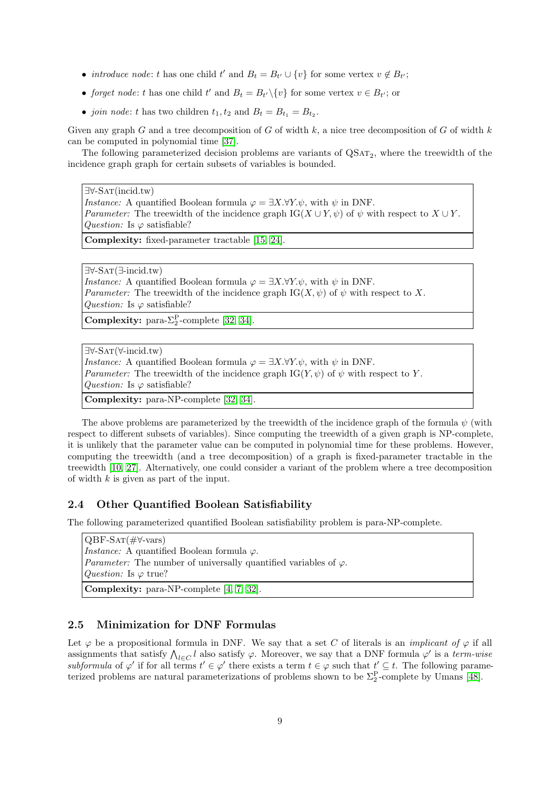- *introduce node: t* has one child  $t'$  and  $B_t = B_{t'} \cup \{v\}$  for some vertex  $v \notin B_{t'}$ ;
- forget node: t has one child t' and  $B_t = B_{t'} \setminus \{v\}$  for some vertex  $v \in B_{t'}$ ; or
- join node: t has two children  $t_1, t_2$  and  $B_t = B_{t_1} = B_{t_2}$ .

Given any graph G and a tree decomposition of G of width  $k$ , a nice tree decomposition of G of width  $k$ can be computed in polynomial time [\[37\]](#page-21-10).

The following parameterized decision problems are variants of  $\mathrm{QSAT}_2$ , where the treewidth of the incidence graph graph for certain subsets of variables is bounded.

∃∀-Sat(incid.tw) *Instance:* A quantified Boolean formula  $\varphi = \exists X.\forall Y.\psi$ , with  $\psi$  in DNF. *Parameter:* The treewidth of the incidence graph IG( $X \cup Y, \psi$ ) of  $\psi$  with respect to  $X \cup Y$ . Question: Is  $\varphi$  satisfiable?

Complexity: fixed-parameter tractable [\[15,](#page-19-7) [24\]](#page-20-10).

∃∀-Sat(∃-incid.tw) *Instance:* A quantified Boolean formula  $\varphi = \exists X.\forall Y.\psi$ , with  $\psi$  in DNF. Parameter: The treewidth of the incidence graph  $IG(X, \psi)$  of  $\psi$  with respect to X. Question: Is  $\varphi$  satisfiable?

**Complexity:** para- $\Sigma_2^{\text{P}}$ -complete [\[32,](#page-20-9) [34\]](#page-20-7).

∃∀-Sat(∀-incid.tw) *Instance:* A quantified Boolean formula  $\varphi = \exists X. \forall Y. \psi$ , with  $\psi$  in DNF. Parameter: The treewidth of the incidence graph IG(Y,  $\psi$ ) of  $\psi$  with respect to Y. Question: Is  $\varphi$  satisfiable?

Complexity: para-NP-complete [\[32,](#page-20-9) [34\]](#page-20-7).

The above problems are parameterized by the treewidth of the incidence graph of the formula  $\psi$  (with respect to different subsets of variables). Since computing the treewidth of a given graph is NP-complete, it is unlikely that the parameter value can be computed in polynomial time for these problems. However, computing the treewidth (and a tree decomposition) of a graph is fixed-parameter tractable in the treewidth [\[10,](#page-19-6) [27\]](#page-20-2). Alternatively, one could consider a variant of the problem where a tree decomposition of width  $k$  is given as part of the input.

#### 2.4 Other Quantified Boolean Satisfiability

The following parameterized quantified Boolean satisfiability problem is para-NP-complete.

QBF-Sat(#∀-vars) *Instance:* A quantified Boolean formula  $\varphi$ . *Parameter:* The number of universally quantified variables of  $\varphi$ . *Question:* Is  $\varphi$  true? Complexity: para-NP-complete [\[4,](#page-19-8) [7,](#page-19-9) [32\]](#page-20-9).

## 2.5 Minimization for DNF Formulas

Let  $\varphi$  be a propositional formula in DNF. We say that a set C of literals is an *implicant of*  $\varphi$  if all assignments that satisfy  $\bigwedge_{l\in C} l$  also satisfy  $\varphi$ . Moreover, we say that a DNF formula  $\varphi'$  is a term-wise subformula of  $\varphi'$  if for all terms  $t' \in \varphi'$  there exists a term  $t \in \varphi$  such that  $t' \subseteq t$ . The following parameterized problems are natural parameterizations of problems shown to be  $\Sigma_2^P$ -complete by Umans [\[48\]](#page-21-11).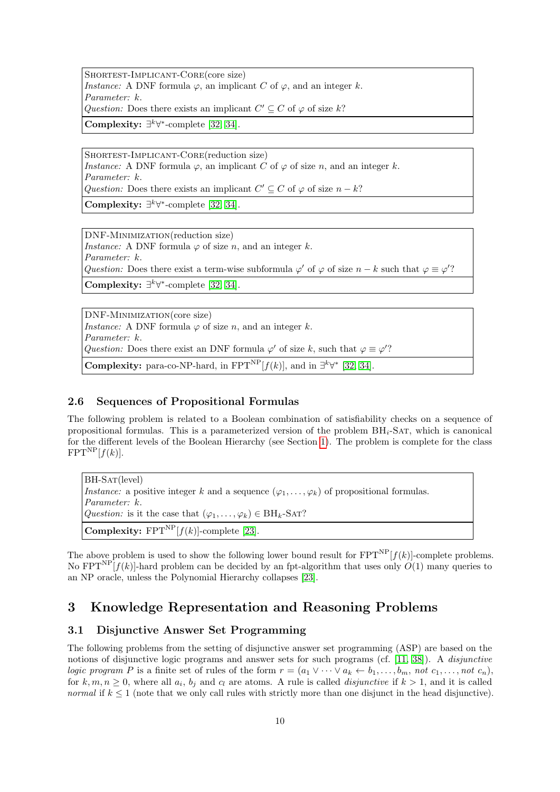SHORTEST-IMPLICANT-CORE(core size) *Instance:* A DNF formula  $\varphi$ , an implicant C of  $\varphi$ , and an integer k. Parameter: k. Question: Does there exists an implicant  $C' \subseteq C$  of  $\varphi$  of size k?

Complexity:  $\exists^k \forall^*$ -complete [\[32,](#page-20-9) [34\]](#page-20-7).

Shortest-Implicant-Core(reduction size) *Instance:* A DNF formula  $\varphi$ , an implicant C of  $\varphi$  of size n, and an integer k. Parameter: k. Question: Does there exists an implicant  $C' \subseteq C$  of  $\varphi$  of size  $n - k$ ?

Complexity:  $\exists^k \forall^*$ -complete [\[32,](#page-20-9) [34\]](#page-20-7).

DNF-Minimization(reduction size) *Instance:* A DNF formula  $\varphi$  of size *n*, and an integer *k*. Parameter: k. Question: Does there exist a term-wise subformula  $\varphi'$  of  $\varphi$  of size  $n - k$  such that  $\varphi \equiv \varphi'$ ? Complexity:  $\exists^k \forall^*$ -complete [\[32,](#page-20-9) [34\]](#page-20-7).

DNF-Minimization(core size) *Instance:* A DNF formula  $\varphi$  of size *n*, and an integer *k*. Parameter: k. Question: Does there exist an DNF formula  $\varphi'$  of size k, such that  $\varphi \equiv \varphi'$ ? **Complexity:** para-co-NP-hard, in  $\text{FPT}^{\text{NP}}[f(k)]$ , and in  $\exists^{k}\forall^{*}$  [\[32,](#page-20-9) [34\]](#page-20-7).

## 2.6 Sequences of Propositional Formulas

The following problem is related to a Boolean combination of satisfiability checks on a sequence of propositional formulas. This is a parameterized version of the problem  $BH_i$ -SAT, which is canonical for the different levels of the Boolean Hierarchy (see Section [1\)](#page-1-0). The problem is complete for the class  $FPT^{NP}[f(k)].$ 

BH-SAT(level) Instance: a positive integer k and a sequence  $(\varphi_1, \ldots, \varphi_k)$  of propositional formulas. Parameter: k. Question: is it the case that  $(\varphi_1, \ldots, \varphi_k) \in \text{BH}_k\text{-SAT}$ ? **Complexity:** FPT<sup>NP</sup> $[f(k)]$ -complete [\[23\]](#page-20-11).

The above problem is used to show the following lower bound result for  $FPT^{NP}[f(k)]$ -complete problems. No  $FPT^{NP}[f(k)]$ -hard problem can be decided by an fpt-algorithm that uses only  $O(1)$  many queries to an NP oracle, unless the Polynomial Hierarchy collapses [\[23\]](#page-20-11).

# 3 Knowledge Representation and Reasoning Problems

## 3.1 Disjunctive Answer Set Programming

The following problems from the setting of disjunctive answer set programming (ASP) are based on the notions of disjunctive logic programs and answer sets for such programs (cf. [\[11,](#page-19-10) [38\]](#page-21-12)). A *disjunctive* logic program P is a finite set of rules of the form  $r = (a_1 \vee \cdots \vee a_k \leftarrow b_1, \ldots, b_m, \text{ not } c_1, \ldots, \text{not } c_n)$ , for  $k, m, n \geq 0$ , where all  $a_i, b_j$  and  $c_l$  are atoms. A rule is called *disjunctive* if  $k > 1$ , and it is called normal if  $k \leq 1$  (note that we only call rules with strictly more than one disjunct in the head disjunctive).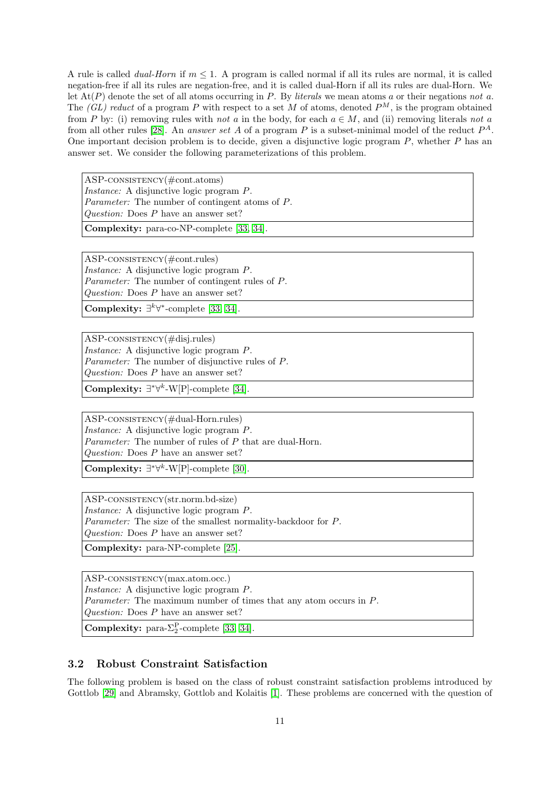A rule is called *dual-Horn* if  $m < 1$ . A program is called normal if all its rules are normal, it is called negation-free if all its rules are negation-free, and it is called dual-Horn if all its rules are dual-Horn. We let  $\text{At}(P)$  denote the set of all atoms occurring in P. By literals we mean atoms a or their negations not a. The  $(GL)$  reduct of a program P with respect to a set M of atoms, denoted  $P^M$ , is the program obtained from P by: (i) removing rules with not a in the body, for each  $a \in M$ , and (ii) removing literals not a from all other rules [\[28\]](#page-20-12). An *answer set A* of a program P is a subset-minimal model of the reduct  $P^A$ . One important decision problem is to decide, given a disjunctive logic program  $P$ , whether  $P$  has an answer set. We consider the following parameterizations of this problem.

ASP-consistency(#cont.atoms) Instance: A disjunctive logic program P. Parameter: The number of contingent atoms of P. Question: Does P have an answer set?

Complexity: para-co-NP-complete [\[33,](#page-20-6) [34\]](#page-20-7).

ASP-consistency(#cont.rules) Instance: A disjunctive logic program P. Parameter: The number of contingent rules of P. Question: Does P have an answer set?

Complexity:  $\exists^k \forall^*$ -complete [\[33,](#page-20-6) [34\]](#page-20-7).

ASP-consistency(#disj.rules) Instance: A disjunctive logic program P. Parameter: The number of disjunctive rules of P. Question: Does P have an answer set?

Complexity:  $\exists^*\forall^k\text{-}\text{W}[\text{P}]\text{-complete}$  [\[34\]](#page-20-7).

ASP-consistency(#dual-Horn.rules) Instance: A disjunctive logic program P. Parameter: The number of rules of P that are dual-Horn. Question: Does P have an answer set?

Complexity:  $\exists^*\forall^k\text{-}\mathrm{W[P]}$ -complete [\[30\]](#page-20-13).

ASP-consistency(str.norm.bd-size) Instance: A disjunctive logic program P. Parameter: The size of the smallest normality-backdoor for P. Question: Does P have an answer set?

Complexity: para-NP-complete [\[25\]](#page-20-5).

ASP-consistency(max.atom.occ.) Instance: A disjunctive logic program P. Parameter: The maximum number of times that any atom occurs in P. Question: Does P have an answer set?

**Complexity:** para- $\Sigma_2^{\text{P}}$ -complete [\[33,](#page-20-6) [34\]](#page-20-7).

## 3.2 Robust Constraint Satisfaction

The following problem is based on the class of robust constraint satisfaction problems introduced by Gottlob [\[29\]](#page-20-14) and Abramsky, Gottlob and Kolaitis [\[1\]](#page-19-11). These problems are concerned with the question of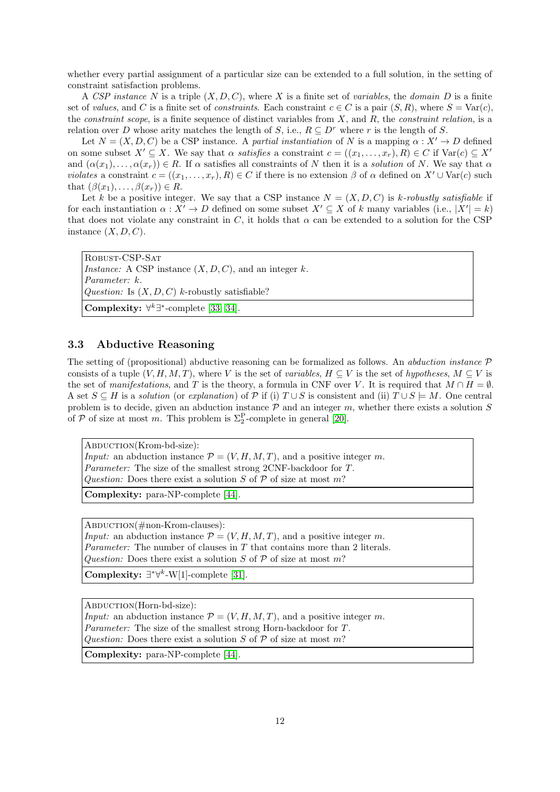whether every partial assignment of a particular size can be extended to a full solution, in the setting of constraint satisfaction problems.

A CSP instance N is a triple  $(X, D, C)$ , where X is a finite set of variables, the domain D is a finite set of values, and C is a finite set of constraints. Each constraint  $c \in C$  is a pair  $(S, R)$ , where  $S = \text{Var}(c)$ , the *constraint scope*, is a finite sequence of distinct variables from  $X$ , and  $R$ , the *constraint relation*, is a relation over D whose arity matches the length of S, i.e.,  $R \subseteq D^r$  where r is the length of S.

Let  $N = (X, D, C)$  be a CSP instance. A partial instantiation of N is a mapping  $\alpha : X' \to D$  defined on some subset  $X' \subseteq X$ . We say that  $\alpha$  satisfies a constraint  $c = ((x_1, \ldots, x_r), R) \in C$  if  $Var(c) \subseteq X'$ and  $(\alpha(x_1), \ldots, \alpha(x_r)) \in R$ . If  $\alpha$  satisfies all constraints of N then it is a solution of N. We say that  $\alpha$ violates a constraint  $c = ((x_1, \ldots, x_r), R) \in C$  if there is no extension  $\beta$  of  $\alpha$  defined on  $X' \cup \text{Var}(c)$  such that  $(\beta(x_1), \ldots, \beta(x_r)) \in R$ .

Let k be a positive integer. We say that a CSP instance  $N = (X, D, C)$  is k-robustly satisfiable if for each instantiation  $\alpha: X' \to D$  defined on some subset  $X' \subseteq X$  of k many variables (i.e.,  $|X'| = k$ ) that does not violate any constraint in C, it holds that  $\alpha$  can be extended to a solution for the CSP instance  $(X, D, C)$ .

Robust-CSP-Sat *Instance:* A CSP instance  $(X, D, C)$ , and an integer k. Parameter: k. Question: Is  $(X, D, C)$  k-robustly satisfiable? Complexity:  $\forall^k \exists^*$ -complete [\[33,](#page-20-6) [34\]](#page-20-7).

## 3.3 Abductive Reasoning

The setting of (propositional) abductive reasoning can be formalized as follows. An *abduction instance*  $\mathcal{P}$ consists of a tuple  $(V, H, M, T)$ , where V is the set of variables,  $H \subseteq V$  is the set of hypotheses,  $M \subseteq V$  is the set of manifestations, and T is the theory, a formula in CNF over V. It is required that  $M \cap H = \emptyset$ . A set  $S \subseteq H$  is a solution (or explanation) of P if (i)  $T \cup S$  is consistent and (ii)  $T \cup S \models M$ . One central problem is to decide, given an abduction instance  $P$  and an integer m, whether there exists a solution  $S$ of  $P$  of size at most m. This problem is  $\Sigma_2^P$ -complete in general [\[20\]](#page-20-15).

ABDUCTION(Krom-bd-size): *Input:* an abduction instance  $\mathcal{P} = (V, H, M, T)$ , and a positive integer m. Parameter: The size of the smallest strong 2CNF-backdoor for T. Question: Does there exist a solution S of  $P$  of size at most m?

Complexity: para-NP-complete [\[44\]](#page-21-8).

ABDUCTION(#non-Krom-clauses): *Input:* an abduction instance  $\mathcal{P} = (V, H, M, T)$ , and a positive integer m. *Parameter:* The number of clauses in  $T$  that contains more than 2 literals. Question: Does there exist a solution S of  $P$  of size at most m?

Complexity:  $\exists^*\forall^k-W[1]$ -complete [\[31\]](#page-20-16).

ABDUCTION(Horn-bd-size): *Input:* an abduction instance  $\mathcal{P} = (V, H, M, T)$ , and a positive integer m. Parameter: The size of the smallest strong Horn-backdoor for T. Question: Does there exist a solution S of  $P$  of size at most m? Complexity: para-NP-complete [\[44\]](#page-21-8).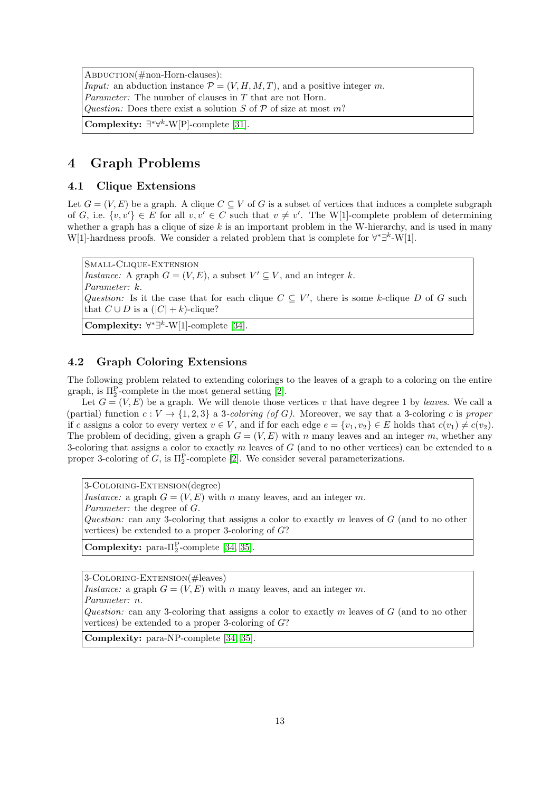ABDUCTION(#non-Horn-clauses): Input: an abduction instance  $\mathcal{P} = (V, H, M, T)$ , and a positive integer m. Parameter: The number of clauses in T that are not Horn. Question: Does there exist a solution S of  $P$  of size at most m? Complexity:  $\exists^*\forall^k$ -W[P]-complete [\[31\]](#page-20-16).

# 4 Graph Problems

## 4.1 Clique Extensions

Let  $G = (V, E)$  be a graph. A clique  $C \subseteq V$  of G is a subset of vertices that induces a complete subgraph of G, i.e.  $\{v, v'\} \in E$  for all  $v, v' \in C$  such that  $v \neq v'$ . The W[1]-complete problem of determining whether a graph has a clique of size  $k$  is an important problem in the W-hierarchy, and is used in many W[1]-hardness proofs. We consider a related problem that is complete for  $\forall^*\exists^k\text{-}W[1]$ .

Small-Clique-Extension *Instance:* A graph  $G = (V, E)$ , a subset  $V' \subseteq V$ , and an integer k. Parameter: k. Question: Is it the case that for each clique  $C \subseteq V'$ , there is some k-clique D of G such that  $C \cup D$  is a  $(|C| + k)$ -clique? Complexity:  $\forall^*\exists^k-W[1]$ -complete [\[34\]](#page-20-7).

## 4.2 Graph Coloring Extensions

The following problem related to extending colorings to the leaves of a graph to a coloring on the entire graph, is  $\Pi_2^{\text{P}}$ -complete in the most general setting [\[2\]](#page-19-12).

Let  $G = (V, E)$  be a graph. We will denote those vertices v that have degree 1 by leaves. We call a (partial) function  $c: V \to \{1, 2, 3\}$  a 3-coloring (of G). Moreover, we say that a 3-coloring c is proper if c assigns a color to every vertex  $v \in V$ , and if for each edge  $e = \{v_1, v_2\} \in E$  holds that  $c(v_1) \neq c(v_2)$ . The problem of deciding, given a graph  $G = (V, E)$  with n many leaves and an integer m, whether any 3-coloring that assigns a color to exactly  $m$  leaves of  $G$  (and to no other vertices) can be extended to a proper 3-coloring of  $G$ , is  $\Pi_2^{\mathcal{P}}$ -complete [\[2\]](#page-19-12). We consider several parameterizations.

3-Coloring-Extension(degree) Instance: a graph  $G = (V, E)$  with n many leaves, and an integer m. Parameter: the degree of G. Question: can any 3-coloring that assigns a color to exactly  $m$  leaves of  $G$  (and to no other vertices) be extended to a proper 3-coloring of G?

Complexity: para- $\Pi_2^{\rm P}$ -complete [\[34,](#page-20-7) [35\]](#page-20-17).

3-Coloring-Extension(#leaves)

Instance: a graph  $G = (V, E)$  with n many leaves, and an integer m.

Parameter: n.

Question: can any 3-coloring that assigns a color to exactly  $m$  leaves of  $G$  (and to no other vertices) be extended to a proper 3-coloring of G?

Complexity: para-NP-complete [\[34,](#page-20-7) [35\]](#page-20-17).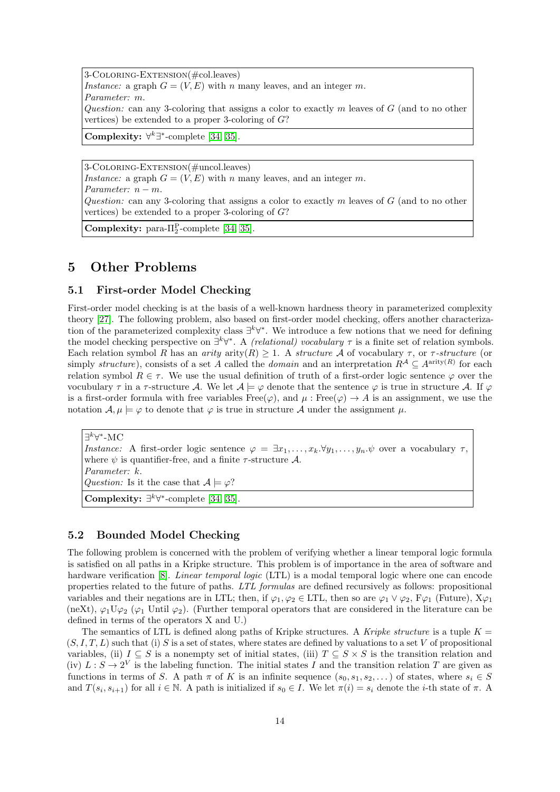3-Coloring-Extension(#col.leaves) Instance: a graph  $G = (V, E)$  with n many leaves, and an integer m. Parameter: m. Question: can any 3-coloring that assigns a color to exactly m leaves of  $G$  (and to no other vertices) be extended to a proper 3-coloring of  $G$ ? Complexity:  $\forall^k \exists^*$ -complete [\[34,](#page-20-7) [35\]](#page-20-17).

3-Coloring-Extension(#uncol.leaves) Instance: a graph  $G = (V, E)$  with n many leaves, and an integer m. Parameter:  $n - m$ . Question: can any 3-coloring that assigns a color to exactly  $m$  leaves of  $G$  (and to no other vertices) be extended to a proper 3-coloring of G? Complexity: para- $\Pi_2^{\rm P}$ -complete [\[34,](#page-20-7) [35\]](#page-20-17).

## 5 Other Problems

#### 5.1 First-order Model Checking

First-order model checking is at the basis of a well-known hardness theory in parameterized complexity theory [\[27\]](#page-20-2). The following problem, also based on first-order model checking, offers another characterization of the parameterized complexity class  $\exists^k \forall^*$ . We introduce a few notions that we need for defining the model checking perspective on  $\exists^k \forall^*$ . A *(relational) vocabulary*  $\tau$  is a finite set of relation symbols. Each relation symbol R has an arity arity(R)  $\geq$  1. A structure A of vocabulary  $\tau$ , or  $\tau$ -structure (or simply structure), consists of a set A called the *domain* and an interpretation  $R^{\mathcal{A}} \subseteq A^{\text{arity}(R)}$  for each relation symbol  $R \in \tau$ . We use the usual definition of truth of a first-order logic sentence  $\varphi$  over the vocubulary  $\tau$  in a  $\tau$ -structure A. We let  $\mathcal{A} \models \varphi$  denote that the sentence  $\varphi$  is true in structure A. If  $\varphi$ is a first-order formula with free variables  $Free(\varphi)$ , and  $\mu$ :  $Free(\varphi) \rightarrow A$  is an assignment, we use the notation  $\mathcal{A}, \mu \models \varphi$  to denote that  $\varphi$  is true in structure  $\mathcal{A}$  under the assignment  $\mu$ .

∃<sup> $k$ </sup>∀\*-MC Instance: A first-order logic sentence  $\varphi = \exists x_1, \ldots, x_k, \forall y_1, \ldots, y_n, \psi$  over a vocabulary  $\tau$ . where  $\psi$  is quantifier-free, and a finite  $\tau$ -structure A. Parameter: k. Question: Is it the case that  $\mathcal{A} \models \varphi$ ? Complexity:  $\exists^k \forall^*$ -complete [\[34,](#page-20-7) [35\]](#page-20-17).

## 5.2 Bounded Model Checking

The following problem is concerned with the problem of verifying whether a linear temporal logic formula is satisfied on all paths in a Kripke structure. This problem is of importance in the area of software and hardware verification [\[8\]](#page-19-13). *Linear temporal logic* (LTL) is a modal temporal logic where one can encode properties related to the future of paths. LTL formulas are defined recursively as follows: propositional variables and their negations are in LTL; then, if  $\varphi_1, \varphi_2 \in \text{LTL}$ , then so are  $\varphi_1 \vee \varphi_2$ ,  $F\varphi_1$  (Future),  $X\varphi_1$  $(\text{neXt}), \varphi_1 \mathbb{U} \varphi_2 \ (\varphi_1 \text{Until } \varphi_2).$  (Further temporal operators that are considered in the literature can be defined in terms of the operators X and U.)

The semantics of LTL is defined along paths of Kripke structures. A Kripke structure is a tuple  $K =$  $(S, I, T, L)$  such that (i) S is a set of states, where states are defined by valuations to a set V of propositional variables, (ii)  $I \subseteq S$  is a nonempty set of initial states, (iii)  $T \subseteq S \times S$  is the transition relation and (iv)  $L: S \to 2^V$  is the labeling function. The initial states I and the transition relation T are given as functions in terms of S. A path  $\pi$  of K is an infinite sequence  $(s_0, s_1, s_2, \dots)$  of states, where  $s_i \in S$ and  $T(s_i, s_{i+1})$  for all  $i \in \mathbb{N}$ . A path is initialized if  $s_0 \in I$ . We let  $\pi(i) = s_i$  denote the *i*-th state of  $\pi$ . A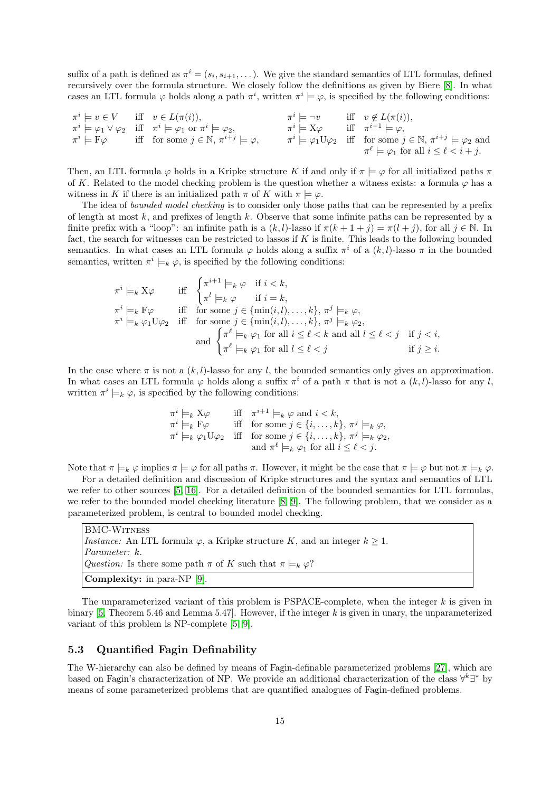suffix of a path is defined as  $\pi^i = (s_i, s_{i+1}, \dots)$ . We give the standard semantics of LTL formulas, defined recursively over the formula structure. We closely follow the definitions as given by Biere [\[8\]](#page-19-13). In what cases an LTL formula  $\varphi$  holds along a path  $\pi^i$ , written  $\pi^i \models \varphi$ , is specified by the following conditions:

$$
\begin{array}{llll}\n\pi^i \models v \in V & \text{iff} & v \in L(\pi(i)), & \pi^i \models \neg v & \text{iff} & v \notin L(\pi(i)), \\
\pi^i \models \varphi_1 \lor \varphi_2 & \text{iff} & \pi^i \models \varphi_1 \text{ or } \pi^i \models \varphi_2, & \pi^i \models X\varphi & \text{iff} & \pi^{i+1} \models \varphi, \\
\pi^i \models F\varphi & \text{iff} & \text{for some } j \in \mathbb{N}, \pi^{i+j} \models \varphi, & \pi^i \models \varphi_1 \text{U}\varphi_2 & \text{iff} & \text{for some } j \in \mathbb{N}, \pi^{i+j} \models \varphi_2 \text{ and} \\
\pi^\ell \models \varphi_1 \text{ for all } i \leq \ell < i+j.\n\end{array}
$$

Then, an LTL formula  $\varphi$  holds in a Kripke structure K if and only if  $\pi \models \varphi$  for all initialized paths  $\pi$ of K. Related to the model checking problem is the question whether a witness exists: a formula  $\varphi$  has a witness in K if there is an initialized path  $\pi$  of K with  $\pi \models \varphi$ .

The idea of *bounded model checking* is to consider only those paths that can be represented by a prefix of length at most  $k$ , and prefixes of length  $k$ . Observe that some infinite paths can be represented by a finite prefix with a "loop": an infinite path is a  $(k, l)$ -lasso if  $\pi(k + 1 + j) = \pi(l + j)$ , for all  $j \in \mathbb{N}$ . In fact, the search for witnesses can be restricted to lassos if  $K$  is finite. This leads to the following bounded semantics. In what cases an LTL formula  $\varphi$  holds along a suffix  $\pi^i$  of a  $(k, l)$ -lasso  $\pi$  in the bounded semantics, written  $\pi^i \models_k \varphi$ , is specified by the following conditions:

$$
\begin{array}{ll}\n\pi^i \models_k X \varphi & \text{iff} \quad \begin{cases}\n\pi^{i+1} \models_k \varphi & \text{if } i < k, \\
\pi^l \models_k \varphi & \text{if } i = k, \\
\pi^i \models_k \text{F}\varphi & \text{iff} \quad \text{for some } j \in \{\min(i, l), \dots, k\}, \pi^j \models_k \varphi, \\
\pi^i \models_k \varphi_1 \text{U}\varphi_2 & \text{iff} \quad \text{for some } j \in \{\min(i, l), \dots, k\}, \pi^j \models_k \varphi_2, \\
\text{and } \begin{cases}\n\pi^\ell \models_k \varphi_1 \text{ for all } i \leq \ell < k \text{ and all } l \leq \ell < j \\
\pi^\ell \models_k \varphi_1 \text{ for all } l \leq \ell < j\n\end{cases} & \text{if } j \geq i.\n\end{array}
$$

In the case where  $\pi$  is not a  $(k, l)$ -lasso for any l, the bounded semantics only gives an approximation. In what cases an LTL formula  $\varphi$  holds along a suffix  $\pi^i$  of a path  $\pi$  that is not a  $(k, l)$ -lasso for any l, written  $\pi^i \models_k \varphi$ , is specified by the following conditions:

$$
\begin{array}{ll}\n\pi^i \models_k X \varphi & \text{iff} \quad \pi^{i+1} \models_k \varphi \text{ and } i < k, \\
\pi^i \models_k \mathcal{F} \varphi & \text{iff} \quad \text{for some } j \in \{i, \dots, k\}, \pi^j \models_k \varphi, \\
\pi^i \models_k \varphi_1 \mathcal{U} \varphi_2 & \text{iff} \quad \text{for some } j \in \{i, \dots, k\}, \pi^j \models_k \varphi_2, \\
\text{and } \pi^\ell \models_k \varphi_1 \text{ for all } i \leq \ell < j.\n\end{array}
$$

Note that  $\pi \models_k \varphi$  implies  $\pi \models \varphi$  for all paths  $\pi$ . However, it might be the case that  $\pi \models \varphi$  but not  $\pi \models_k \varphi$ .

For a detailed definition and discussion of Kripke structures and the syntax and semantics of LTL we refer to other sources [\[5,](#page-19-14) [16\]](#page-19-15). For a detailed definition of the bounded semantics for LTL formulas, we refer to the bounded model checking literature [\[8,](#page-19-13) [9\]](#page-19-16). The following problem, that we consider as a parameterized problem, is central to bounded model checking.

BMC-Witness *Instance:* An LTL formula  $\varphi$ , a Kripke structure K, and an integer  $k \geq 1$ . Parameter: k. Question: Is there some path  $\pi$  of K such that  $\pi \models_k \varphi$ ? Complexity: in para-NP [\[9\]](#page-19-16).

The unparameterized variant of this problem is PSPACE-complete, when the integer  $k$  is given in binary [\[5,](#page-19-14) Theorem 5.46 and Lemma 5.47]. However, if the integer  $k$  is given in unary, the unparameterized variant of this problem is NP-complete [\[5,](#page-19-14) [9\]](#page-19-16).

## 5.3 Quantified Fagin Definability

The W-hierarchy can also be defined by means of Fagin-definable parameterized problems [\[27\]](#page-20-2), which are based on Fagin's characterization of NP. We provide an additional characterization of the class  $\forall^k \exists^*$  by means of some parameterized problems that are quantified analogues of Fagin-defined problems.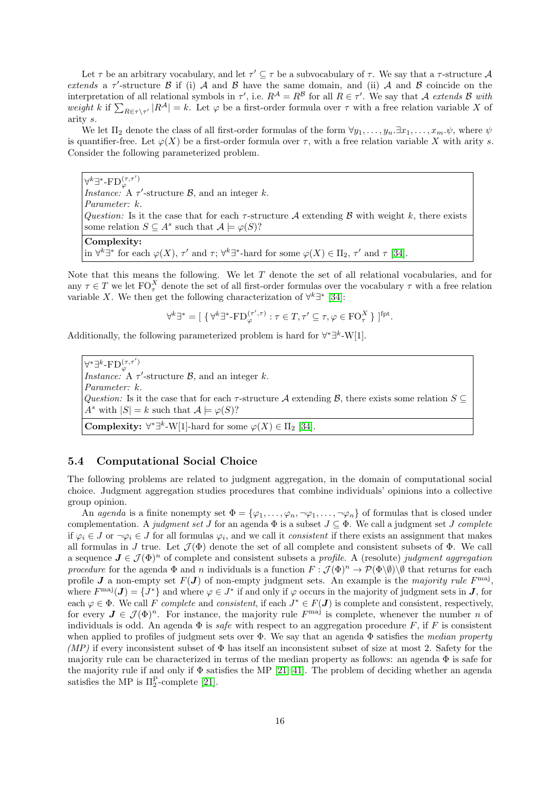Let  $\tau$  be an arbitrary vocabulary, and let  $\tau' \subseteq \tau$  be a subvocabulary of  $\tau$ . We say that a  $\tau$ -structure  $\mathcal A$ extends a  $\tau'$ -structure  $\beta$  if (i) A and  $\beta$  have the same domain, and (ii) A and  $\beta$  coincide on the interpretation of all relational symbols in  $\tau'$ , i.e.  $R^{\mathcal{A}} = R^{\mathcal{B}}$  for all  $R \in \tau'$ . We say that A extends B with weight k if  $\sum_{R\in\tau\setminus\tau'}|R^{\mathcal{A}}|=k$ . Let  $\varphi$  be a first-order formula over  $\tau$  with a free relation variable X of arity s.

We let  $\Pi_2$  denote the class of all first-order formulas of the form  $\forall y_1, \ldots, y_n, \exists x_1, \ldots, x_m, \psi$ , where  $\psi$ is quantifier-free. Let  $\varphi(X)$  be a first-order formula over  $\tau$ , with a free relation variable X with arity s. Consider the following parameterized problem.

 $\forall^k \exists^* \text{-FD}^{(\tau,\tau')}$ *Instance:* A  $\tau'$ -structure  $\mathcal{B}$ , and an integer k. Parameter: k. Question: Is it the case that for each  $\tau$ -structure A extending B with weight k, there exists some relation  $S \subseteq A^s$  such that  $A \models \varphi(S)$ ? Complexity: in  $\forall^k \exists^*$  for each  $\varphi(X)$ ,  $\tau'$  and  $\tau$ ;  $\forall^k \exists^*$ -hard for some  $\varphi(X) \in \Pi_2$ ,  $\tau'$  and  $\tau$  [\[34\]](#page-20-7).

Note that this means the following. We let T denote the set of all relational vocabularies, and for any  $\tau \in T$  we let  $\mathrm{FO}_{\tau}^X$  denote the set of all first-order formulas over the vocabulary  $\tau$  with a free relation variable X. We then get the following characterization of  $\forall^{k} \exists^{*}$  [\[34\]](#page-20-7):

$$
\forall^{k} \exists^{*} = [\ \{\forall^{k} \exists^{*} \text{-FD}_{\varphi}^{(\tau', \tau)} : \tau \in T, \tau' \subseteq \tau, \varphi \in \mathrm{FO}_{\tau}^{X}\ \}]^{\mathrm{fpt}}.
$$

Additionally, the following parameterized problem is hard for  $\forall^*\exists^k-W[1]$ .

 $\forall^*\exists^k\text{-}\mathrm{FD}^{(\tau,\tau')}_{\varphi}$ *Instance:* A  $\tau'$ -structure  $\mathcal{B}$ , and an integer k. Parameter: k. Question: Is it the case that for each  $\tau$ -structure A extending B, there exists some relation  $S \subseteq$  $A^s$  with  $|S| = k$  such that  $\mathcal{A} \models \varphi(S)$ ? **Complexity:**  $\forall^* \exists^k \text{-} W[1]$ -hard for some  $\varphi(X) \in \Pi_2$  [\[34\]](#page-20-7).

## 5.4 Computational Social Choice

The following problems are related to judgment aggregation, in the domain of computational social choice. Judgment aggregation studies procedures that combine individuals' opinions into a collective group opinion.

An agenda is a finite nonempty set  $\Phi = {\varphi_1, \ldots, \varphi_n, \neg \varphi_1, \ldots, \neg \varphi_n}$  of formulas that is closed under complementation. A judgment set J for an agenda  $\Phi$  is a subset  $J \subseteq \Phi$ . We call a judgment set J complete if  $\varphi_i \in J$  or  $\neg \varphi_i \in J$  for all formulas  $\varphi_i$ , and we call it *consistent* if there exists an assignment that makes all formulas in J true. Let  $\mathcal{J}(\Phi)$  denote the set of all complete and consistent subsets of  $\Phi$ . We call a sequence  $J \in \mathcal{J}(\Phi)^n$  of complete and consistent subsets a profile. A (resolute) judgment aggregation procedure for the agenda  $\Phi$  and n individuals is a function  $F : \mathcal{J}(\Phi)^n \to \mathcal{P}(\Phi \setminus \emptyset) \setminus \emptyset$  that returns for each profile **J** a non-empty set  $F(\mathbf{J})$  of non-empty judgment sets. An example is the majority rule  $F^{\text{maj}}$ , where  $F^{\text{maj}}(\mathbf{J}) = \{J^*\}\$ and where  $\varphi \in J^*$  if and only if  $\varphi$  occurs in the majority of judgment sets in  $\mathbf{J}$ , for each  $\varphi \in \Phi$ . We call F complete and consistent, if each  $J^* \in F(\mathbf{J})$  is complete and consistent, respectively, for every  $J \in \mathcal{J}(\Phi)^n$ . For instance, the majority rule  $F^{\text{maj}}$  is complete, whenever the number n of individuals is odd. An agenda  $\Phi$  is *safe* with respect to an aggregation procedure F, if F is consistent when applied to profiles of judgment sets over  $\Phi$ . We say that an agenda  $\Phi$  satisfies the median property (MP) if every inconsistent subset of  $\Phi$  has itself an inconsistent subset of size at most 2. Safety for the majority rule can be characterized in terms of the median property as follows: an agenda  $\Phi$  is safe for the majority rule if and only if Φ satisfies the MP [\[21,](#page-20-18) [41\]](#page-21-13). The problem of deciding whether an agenda satisfies the MP is  $\Pi_2^{\text{P}}$ -complete [\[21\]](#page-20-18).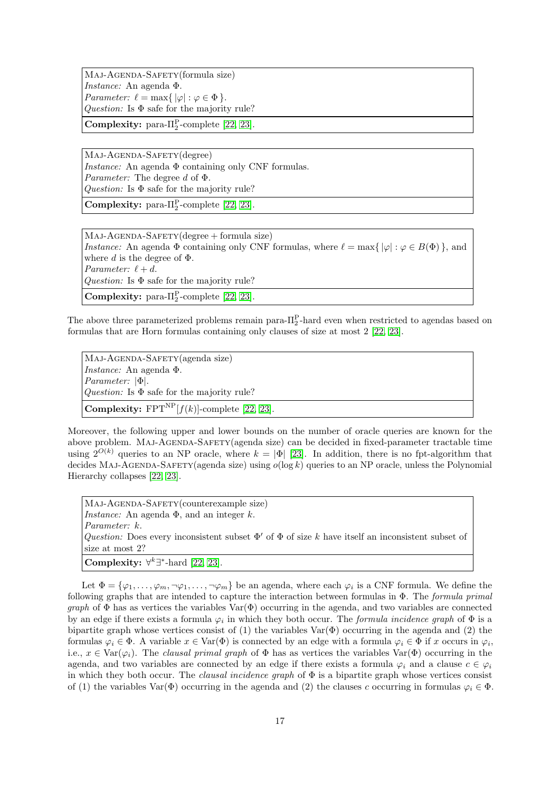Maj-Agenda-Safety(formula size) Instance: An agenda Φ. Parameter:  $\ell = \max\{ |\varphi| : \varphi \in \Phi \}.$ Question: Is  $\Phi$  safe for the majority rule?

Complexity: para- $\Pi_2^{\rm P}$ -complete [\[22,](#page-20-4) [23\]](#page-20-11).

Maj-Agenda-Safety(degree) Instance: An agenda  $\Phi$  containing only CNF formulas. Parameter: The degree d of Φ. Question: Is  $\Phi$  safe for the majority rule?

Complexity: para- $\Pi_2^{\rm P}$ -complete [\[22,](#page-20-4) [23\]](#page-20-11).

Maj-Agenda-Safety(degree + formula size) Instance: An agenda  $\Phi$  containing only CNF formulas, where  $\ell = \max\{ |\varphi| : \varphi \in B(\Phi) \}$ , and where d is the degree of  $\Phi$ . Parameter:  $\ell + d$ . Question: Is  $\Phi$  safe for the majority rule? Complexity: para- $\Pi_2^{\rm P}$ -complete [\[22,](#page-20-4) [23\]](#page-20-11).

The above three parameterized problems remain para- $\Pi_2^{\text{P}}$ -hard even when restricted to agendas based on formulas that are Horn formulas containing only clauses of size at most 2 [\[22,](#page-20-4) [23\]](#page-20-11).

Maj-Agenda-Safety(agenda size) Instance: An agenda Φ. Parameter: |Φ|. Question: Is  $\Phi$  safe for the majority rule? **Complexity:** FPT<sup>NP</sup> $[f(k)]$ -complete [\[22,](#page-20-4) [23\]](#page-20-11).

Moreover, the following upper and lower bounds on the number of oracle queries are known for the above problem. MAJ-AGENDA-SAFETY(agenda size) can be decided in fixed-parameter tractable time using  $2^{O(k)}$  queries to an NP oracle, where  $k = |\Phi|$  [\[23\]](#page-20-11). In addition, there is no fpt-algorithm that decides MAJ-AGENDA-SAFETY(agenda size) using  $o(\log k)$  queries to an NP oracle, unless the Polynomial Hierarchy collapses [\[22,](#page-20-4) [23\]](#page-20-11).

Maj-Agenda-Safety(counterexample size) *Instance:* An agenda  $\Phi$ , and an integer k. Parameter: k. Question: Does every inconsistent subset  $\Phi'$  of  $\Phi$  of size k have itself an inconsistent subset of size at most 2? Complexity:  $\forall^k \exists^*$ -hard [\[22,](#page-20-4) [23\]](#page-20-11).

Let  $\Phi = {\varphi_1,\ldots,\varphi_m,\neg\varphi_1,\ldots,\neg\varphi_m}$  be an agenda, where each  $\varphi_i$  is a CNF formula. We define the following graphs that are intended to capture the interaction between formulas in  $\Phi$ . The *formula primal* graph of  $\Phi$  has as vertices the variables  $\text{Var}(\Phi)$  occurring in the agenda, and two variables are connected by an edge if there exists a formula  $\varphi_i$  in which they both occur. The *formula incidence graph* of  $\Phi$  is a bipartite graph whose vertices consist of (1) the variables  $\text{Var}(\Phi)$  occurring in the agenda and (2) the formulas  $\varphi_i \in \Phi$ . A variable  $x \in \text{Var}(\Phi)$  is connected by an edge with a formula  $\varphi_i \in \Phi$  if x occurs in  $\varphi_i$ , i.e.,  $x \in \text{Var}(\varphi_i)$ . The clausal primal graph of  $\Phi$  has as vertices the variables  $\text{Var}(\Phi)$  occurring in the agenda, and two variables are connected by an edge if there exists a formula  $\varphi_i$  and a clause  $c \in \varphi_i$ in which they both occur. The *clausal incidence graph* of  $\Phi$  is a bipartite graph whose vertices consist of (1) the variables Var( $\Phi$ ) occurring in the agenda and (2) the clauses c occurring in formulas  $\varphi_i \in \Phi$ .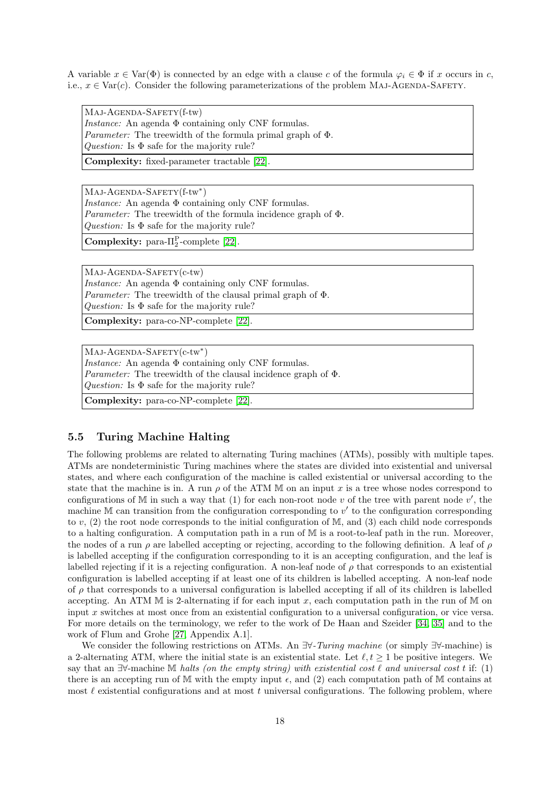A variable  $x \in \text{Var}(\Phi)$  is connected by an edge with a clause c of the formula  $\varphi_i \in \Phi$  if x occurs in c, i.e.,  $x \in \text{Var}(c)$ . Consider the following parameterizations of the problem MAJ-AGENDA-SAFETY.

Maj-Agenda-Safety(f-tw)

*Instance:* An agenda  $\Phi$  containing only CNF formulas. Parameter: The treewidth of the formula primal graph of Φ. Question: Is  $\Phi$  safe for the majority rule?

Complexity: fixed-parameter tractable [\[22\]](#page-20-4).

MAJ-AGENDA-SAFETY(f-tw\*) Instance: An agenda  $\Phi$  containing only CNF formulas. Parameter: The treewidth of the formula incidence graph of Φ. Question: Is  $\Phi$  safe for the majority rule?

**Complexity:** para- $\Pi_2^{\text{P}}$ -complete [\[22\]](#page-20-4).

Maj-Agenda-Safety(c-tw) Instance: An agenda  $\Phi$  containing only CNF formulas. Parameter: The treewidth of the clausal primal graph of Φ. Question: Is  $\Phi$  safe for the majority rule?

Complexity: para-co-NP-complete [\[22\]](#page-20-4).

MAJ-AGENDA-SAFETY(c-tw\*) Instance: An agenda  $\Phi$  containing only CNF formulas. Parameter: The treewidth of the clausal incidence graph of Φ. Question: Is  $\Phi$  safe for the majority rule?

Complexity: para-co-NP-complete [\[22\]](#page-20-4).

## 5.5 Turing Machine Halting

The following problems are related to alternating Turing machines (ATMs), possibly with multiple tapes. ATMs are nondeterministic Turing machines where the states are divided into existential and universal states, and where each configuration of the machine is called existential or universal according to the state that the machine is in. A run  $\rho$  of the ATM M on an input x is a tree whose nodes correspond to configurations of M in such a way that (1) for each non-root node v of the tree with parent node  $v'$ , the machine M can transition from the configuration corresponding to  $v'$  to the configuration corresponding to v, (2) the root node corresponds to the initial configuration of  $\mathbb{M}$ , and (3) each child node corresponds to a halting configuration. A computation path in a run of M is a root-to-leaf path in the run. Moreover, the nodes of a run  $\rho$  are labelled accepting or rejecting, according to the following definition. A leaf of  $\rho$ is labelled accepting if the configuration corresponding to it is an accepting configuration, and the leaf is labelled rejecting if it is a rejecting configuration. A non-leaf node of  $\rho$  that corresponds to an existential configuration is labelled accepting if at least one of its children is labelled accepting. A non-leaf node of  $\rho$  that corresponds to a universal configuration is labelled accepting if all of its children is labelled accepting. An ATM  $\mathbb M$  is 2-alternating if for each input x, each computation path in the run of  $\mathbb M$  on input x switches at most once from an existential configuration to a universal configuration, or vice versa. For more details on the terminology, we refer to the work of De Haan and Szeider [\[34,](#page-20-7) [35\]](#page-20-17) and to the work of Flum and Grohe [\[27,](#page-20-2) Appendix A.1].

We consider the following restrictions on ATMs. An  $\exists \forall$ -Turing machine (or simply  $\exists \forall$ -machine) is a 2-alternating ATM, where the initial state is an existential state. Let  $\ell, t \geq 1$  be positive integers. We say that an  $\exists\forall$ -machine M halts (on the empty string) with existential cost  $\ell$  and universal cost t if: (1) there is an accepting run of M with the empty input  $\epsilon$ , and (2) each computation path of M contains at most  $\ell$  existential configurations and at most t universal configurations. The following problem, where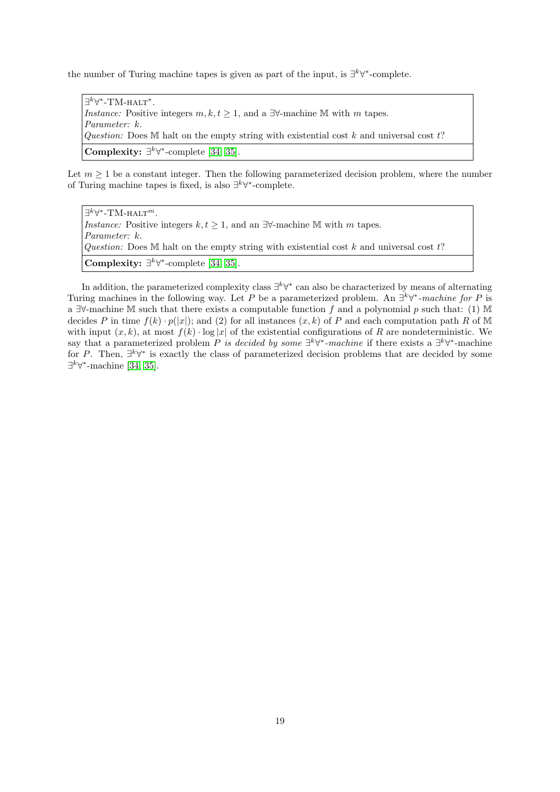the number of Turing machine tapes is given as part of the input, is  $\exists^k \forall^*$ -complete.

∃<sup> $k$ </sup>∀<sup>\*</sup>-ТМ-нагт<sup>\*</sup>. Instance: Positive integers  $m, k, t \geq 1$ , and a ∃∀-machine M with m tapes. Parameter: k. Question: Does M halt on the empty string with existential cost k and universal cost  $t$ ? Complexity:  $\exists^k \forall^*$ -complete [\[34,](#page-20-7) [35\]](#page-20-17).

Let  $m \geq 1$  be a constant integer. Then the following parameterized decision problem, where the number of Turing machine tapes is fixed, is also  $\exists^k \forall^*$ -complete.

| $\exists^k \forall^*$ -TM-HALT <sup>m</sup> .                                                        |
|------------------------------------------------------------------------------------------------------|
| <i>Instance:</i> Positive integers $k, t \geq 1$ , and an $\exists \forall$ -machine M with m tapes. |
| <i>Parameter:</i> k.                                                                                 |
| Question: Does M halt on the empty string with existential cost k and universal cost $t$ ?           |
| <b>Complexity:</b> $\exists^k \forall^*$ -complete [34, 35].                                         |

In addition, the parameterized complexity class  $\exists^k \forall^*$  can also be characterized by means of alternating Turing machines in the following way. Let P be a parameterized problem. An  $\exists^k \forall^*$ -machine for P is a  $\exists\forall$ -machine M such that there exists a computable function f and a polynomial p such that: (1) M decides P in time  $f(k) \cdot p(|x|)$ ; and (2) for all instances  $(x, k)$  of P and each computation path R of M with input  $(x, k)$ , at most  $f(k) \cdot \log |x|$  of the existential configurations of R are nondeterministic. We say that a parameterized problem P is decided by some  $\exists^k \forall^*$ -machine if there exists a  $\exists^k \forall^*$ -machine for P. Then,  $\exists^k \forall^*$  is exactly the class of parameterized decision problems that are decided by some  $\exists^k \forall^*$ -machine [\[34,](#page-20-7) [35\]](#page-20-17).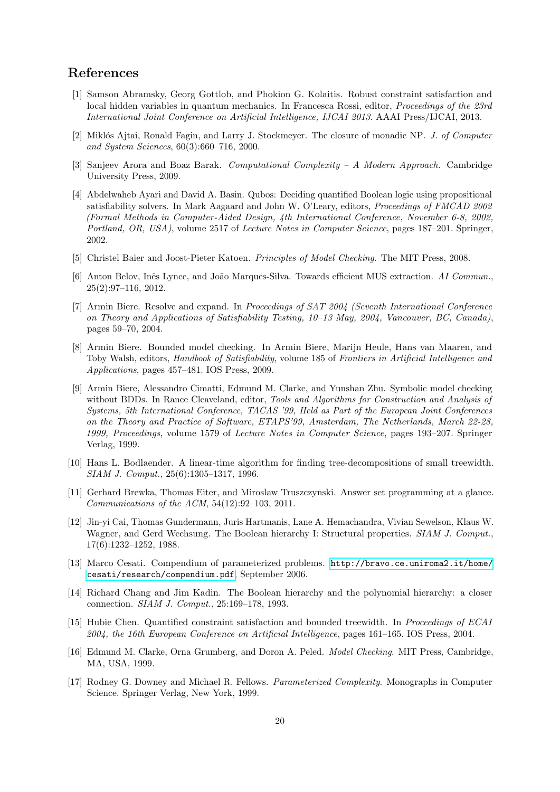## References

- <span id="page-19-11"></span>[1] Samson Abramsky, Georg Gottlob, and Phokion G. Kolaitis. Robust constraint satisfaction and local hidden variables in quantum mechanics. In Francesca Rossi, editor, Proceedings of the 23rd International Joint Conference on Artificial Intelligence, IJCAI 2013. AAAI Press/IJCAI, 2013.
- <span id="page-19-12"></span>[2] Miklós Ajtai, Ronald Fagin, and Larry J. Stockmeyer. The closure of monadic NP. J. of Computer and System Sciences, 60(3):660–716, 2000.
- <span id="page-19-1"></span>[3] Sanjeev Arora and Boaz Barak. Computational Complexity – A Modern Approach. Cambridge University Press, 2009.
- <span id="page-19-8"></span>[4] Abdelwaheb Ayari and David A. Basin. Qubos: Deciding quantified Boolean logic using propositional satisfiability solvers. In Mark Aagaard and John W. O'Leary, editors, Proceedings of FMCAD 2002 (Formal Methods in Computer-Aided Design, 4th International Conference, November 6-8, 2002, Portland, OR, USA), volume 2517 of Lecture Notes in Computer Science, pages 187–201. Springer, 2002.
- <span id="page-19-14"></span>[5] Christel Baier and Joost-Pieter Katoen. Principles of Model Checking. The MIT Press, 2008.
- <span id="page-19-5"></span>[6] Anton Belov, Inês Lynce, and João Marques-Silva. Towards efficient MUS extraction. AI Commun. 25(2):97–116, 2012.
- <span id="page-19-9"></span>[7] Armin Biere. Resolve and expand. In Proceedings of SAT 2004 (Seventh International Conference on Theory and Applications of Satisfiability Testing, 10–13 May, 2004, Vancouver, BC, Canada), pages 59–70, 2004.
- <span id="page-19-13"></span>[8] Armin Biere. Bounded model checking. In Armin Biere, Marijn Heule, Hans van Maaren, and Toby Walsh, editors, Handbook of Satisfiability, volume 185 of Frontiers in Artificial Intelligence and Applications, pages 457–481. IOS Press, 2009.
- <span id="page-19-16"></span>[9] Armin Biere, Alessandro Cimatti, Edmund M. Clarke, and Yunshan Zhu. Symbolic model checking without BDDs. In Rance Cleaveland, editor, Tools and Algorithms for Construction and Analysis of Systems, 5th International Conference, TACAS '99, Held as Part of the European Joint Conferences on the Theory and Practice of Software, ETAPS'99, Amsterdam, The Netherlands, March 22-28, 1999, Proceedings, volume 1579 of Lecture Notes in Computer Science, pages 193–207. Springer Verlag, 1999.
- <span id="page-19-6"></span>[10] Hans L. Bodlaender. A linear-time algorithm for finding tree-decompositions of small treewidth. SIAM J. Comput., 25(6):1305–1317, 1996.
- <span id="page-19-10"></span>[11] Gerhard Brewka, Thomas Eiter, and Miroslaw Truszczynski. Answer set programming at a glance. Communications of the ACM, 54(12):92–103, 2011.
- <span id="page-19-2"></span>[12] Jin-yi Cai, Thomas Gundermann, Juris Hartmanis, Lane A. Hemachandra, Vivian Sewelson, Klaus W. Wagner, and Gerd Wechsung. The Boolean hierarchy I: Structural properties. SIAM J. Comput. 17(6):1232–1252, 1988.
- <span id="page-19-0"></span>[13] Marco Cesati. Compendium of parameterized problems. [http://bravo.ce.uniroma2.it/home/](http://bravo.ce.uniroma2.it/home/cesati/research/compendium.pdf) [cesati/research/compendium.pdf](http://bravo.ce.uniroma2.it/home/cesati/research/compendium.pdf), September 2006.
- <span id="page-19-3"></span>[14] Richard Chang and Jim Kadin. The Boolean hierarchy and the polynomial hierarchy: a closer connection. SIAM J. Comput., 25:169–178, 1993.
- <span id="page-19-7"></span>[15] Hubie Chen. Quantified constraint satisfaction and bounded treewidth. In Proceedings of ECAI 2004, the 16th European Conference on Artificial Intelligence, pages 161–165. IOS Press, 2004.
- <span id="page-19-15"></span>[16] Edmund M. Clarke, Orna Grumberg, and Doron A. Peled. Model Checking. MIT Press, Cambridge, MA, USA, 1999.
- <span id="page-19-4"></span>[17] Rodney G. Downey and Michael R. Fellows. Parameterized Complexity. Monographs in Computer Science. Springer Verlag, New York, 1999.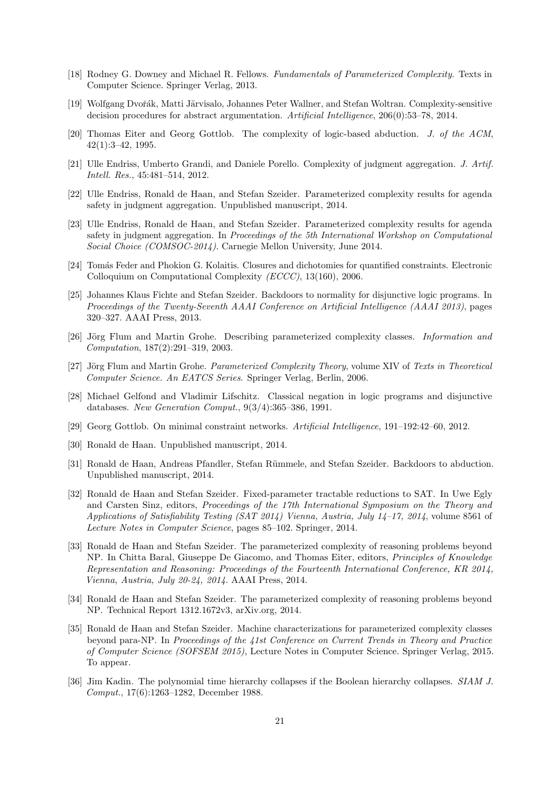- <span id="page-20-1"></span>[18] Rodney G. Downey and Michael R. Fellows. Fundamentals of Parameterized Complexity. Texts in Computer Science. Springer Verlag, 2013.
- <span id="page-20-8"></span>[19] Wolfgang Dvořák, Matti Järvisalo, Johannes Peter Wallner, and Stefan Woltran. Complexity-sensitive decision procedures for abstract argumentation. Artificial Intelligence, 206(0):53–78, 2014.
- <span id="page-20-15"></span>[20] Thomas Eiter and Georg Gottlob. The complexity of logic-based abduction. J. of the ACM, 42(1):3–42, 1995.
- <span id="page-20-18"></span>[21] Ulle Endriss, Umberto Grandi, and Daniele Porello. Complexity of judgment aggregation. J. Artif. Intell. Res., 45:481–514, 2012.
- <span id="page-20-4"></span>[22] Ulle Endriss, Ronald de Haan, and Stefan Szeider. Parameterized complexity results for agenda safety in judgment aggregation. Unpublished manuscript, 2014.
- <span id="page-20-11"></span>[23] Ulle Endriss, Ronald de Haan, and Stefan Szeider. Parameterized complexity results for agenda safety in judgment aggregation. In Proceedings of the 5th International Workshop on Computational Social Choice (COMSOC-2014). Carnegie Mellon University, June 2014.
- <span id="page-20-10"></span>[24] Tomás Feder and Phokion G. Kolaitis. Closures and dichotomies for quantified constraints. Electronic Colloquium on Computational Complexity (ECCC), 13(160), 2006.
- <span id="page-20-5"></span>[25] Johannes Klaus Fichte and Stefan Szeider. Backdoors to normality for disjunctive logic programs. In Proceedings of the Twenty-Seventh AAAI Conference on Artificial Intelligence (AAAI 2013), pages 320–327. AAAI Press, 2013.
- <span id="page-20-3"></span>[26] Jörg Flum and Martin Grohe. Describing parameterized complexity classes. *Information and* Computation, 187(2):291–319, 2003.
- <span id="page-20-2"></span>[27] Jörg Flum and Martin Grohe. *Parameterized Complexity Theory*, volume XIV of Texts in Theoretical Computer Science. An EATCS Series. Springer Verlag, Berlin, 2006.
- <span id="page-20-12"></span>[28] Michael Gelfond and Vladimir Lifschitz. Classical negation in logic programs and disjunctive databases. New Generation Comput., 9(3/4):365–386, 1991.
- <span id="page-20-14"></span>[29] Georg Gottlob. On minimal constraint networks. Artificial Intelligence, 191–192:42–60, 2012.
- <span id="page-20-13"></span>[30] Ronald de Haan. Unpublished manuscript, 2014.
- <span id="page-20-16"></span>[31] Ronald de Haan, Andreas Pfandler, Stefan Rümmele, and Stefan Szeider. Backdoors to abduction. Unpublished manuscript, 2014.
- <span id="page-20-9"></span>[32] Ronald de Haan and Stefan Szeider. Fixed-parameter tractable reductions to SAT. In Uwe Egly and Carsten Sinz, editors, Proceedings of the 17th International Symposium on the Theory and Applications of Satisfiability Testing (SAT 2014) Vienna, Austria, July 14–17, 2014, volume 8561 of Lecture Notes in Computer Science, pages 85–102. Springer, 2014.
- <span id="page-20-6"></span>[33] Ronald de Haan and Stefan Szeider. The parameterized complexity of reasoning problems beyond NP. In Chitta Baral, Giuseppe De Giacomo, and Thomas Eiter, editors, Principles of Knowledge Representation and Reasoning: Proceedings of the Fourteenth International Conference, KR 2014, Vienna, Austria, July 20-24, 2014. AAAI Press, 2014.
- <span id="page-20-7"></span>[34] Ronald de Haan and Stefan Szeider. The parameterized complexity of reasoning problems beyond NP. Technical Report 1312.1672v3, arXiv.org, 2014.
- <span id="page-20-17"></span>[35] Ronald de Haan and Stefan Szeider. Machine characterizations for parameterized complexity classes beyond para-NP. In Proceedings of the 41st Conference on Current Trends in Theory and Practice of Computer Science (SOFSEM 2015), Lecture Notes in Computer Science. Springer Verlag, 2015. To appear.
- <span id="page-20-0"></span>[36] Jim Kadin. The polynomial time hierarchy collapses if the Boolean hierarchy collapses. SIAM J. Comput., 17(6):1263–1282, December 1988.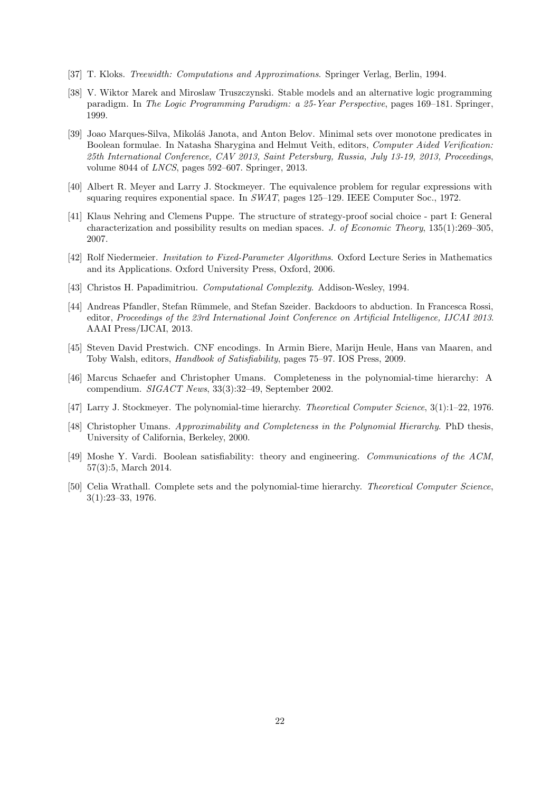- <span id="page-21-10"></span>[37] T. Kloks. Treewidth: Computations and Approximations. Springer Verlag, Berlin, 1994.
- <span id="page-21-12"></span>[38] V. Wiktor Marek and Miroslaw Truszczynski. Stable models and an alternative logic programming paradigm. In The Logic Programming Paradigm: a 25-Year Perspective, pages 169–181. Springer, 1999.
- <span id="page-21-9"></span>[39] Joao Marques-Silva, Mikoláš Janota, and Anton Belov. Minimal sets over monotone predicates in Boolean formulae. In Natasha Sharygina and Helmut Veith, editors, Computer Aided Verification: 25th International Conference, CAV 2013, Saint Petersburg, Russia, July 13-19, 2013, Proceedings, volume 8044 of LNCS, pages 592–607. Springer, 2013.
- <span id="page-21-3"></span>[40] Albert R. Meyer and Larry J. Stockmeyer. The equivalence problem for regular expressions with squaring requires exponential space. In SWAT, pages 125–129. IEEE Computer Soc., 1972.
- <span id="page-21-13"></span>[41] Klaus Nehring and Clemens Puppe. The structure of strategy-proof social choice - part I: General characterization and possibility results on median spaces. J. of Economic Theory, 135(1):269–305, 2007.
- <span id="page-21-6"></span>[42] Rolf Niedermeier. Invitation to Fixed-Parameter Algorithms. Oxford Lecture Series in Mathematics and its Applications. Oxford University Press, Oxford, 2006.
- <span id="page-21-2"></span>[43] Christos H. Papadimitriou. Computational Complexity. Addison-Wesley, 1994.
- <span id="page-21-8"></span>[44] Andreas Pfandler, Stefan Rümmele, and Stefan Szeider. Backdoors to abduction. In Francesca Rossi, editor, Proceedings of the 23rd International Joint Conference on Artificial Intelligence, IJCAI 2013. AAAI Press/IJCAI, 2013.
- <span id="page-21-7"></span>[45] Steven David Prestwich. CNF encodings. In Armin Biere, Marijn Heule, Hans van Maaren, and Toby Walsh, editors, Handbook of Satisfiability, pages 75–97. IOS Press, 2009.
- <span id="page-21-1"></span>[46] Marcus Schaefer and Christopher Umans. Completeness in the polynomial-time hierarchy: A compendium. SIGACT News, 33(3):32–49, September 2002.
- <span id="page-21-4"></span>[47] Larry J. Stockmeyer. The polynomial-time hierarchy. Theoretical Computer Science, 3(1):1–22, 1976.
- <span id="page-21-11"></span>[48] Christopher Umans. Approximability and Completeness in the Polynomial Hierarchy. PhD thesis, University of California, Berkeley, 2000.
- <span id="page-21-0"></span>[49] Moshe Y. Vardi. Boolean satisfiability: theory and engineering. Communications of the ACM, 57(3):5, March 2014.
- <span id="page-21-5"></span>[50] Celia Wrathall. Complete sets and the polynomial-time hierarchy. Theoretical Computer Science, 3(1):23–33, 1976.